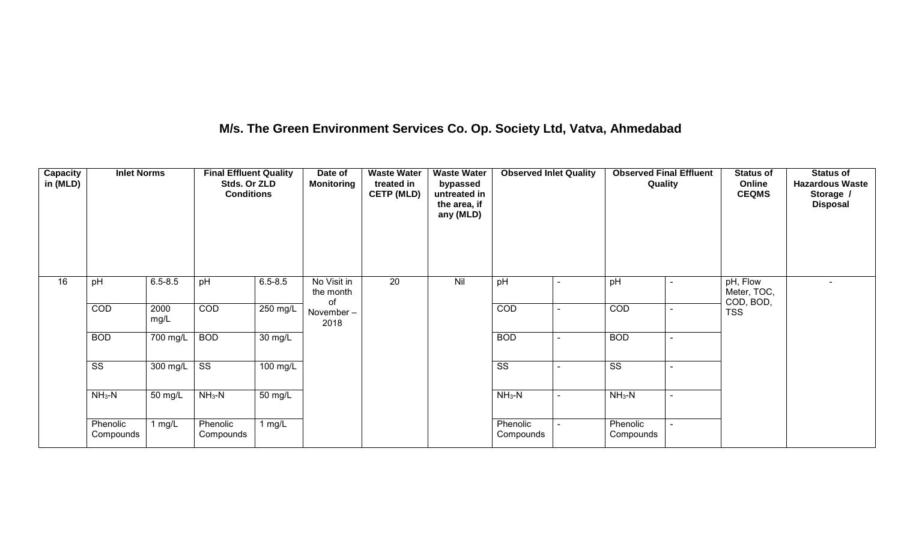## **M/s. The Green Environment Services Co. Op. Society Ltd, Vatva, Ahmedabad**

| Capacity<br>in (MLD) | <b>Inlet Norms</b>     |                                  | <b>Final Effluent Quality</b><br>Stds. Or ZLD<br><b>Conditions</b> |             | Date of<br><b>Monitoring</b>   | <b>Waste Water</b><br>treated in<br><b>CETP (MLD)</b> | <b>Waste Water</b><br>bypassed<br>untreated in<br>the area, if<br>any (MLD) | <b>Observed Inlet Quality</b> | <b>Observed Final Effluent</b><br>Quality | <b>Status of</b><br>Online<br><b>CEQMS</b> | <b>Status of</b><br><b>Hazardous Waste</b><br>Storage /<br><b>Disposal</b> |
|----------------------|------------------------|----------------------------------|--------------------------------------------------------------------|-------------|--------------------------------|-------------------------------------------------------|-----------------------------------------------------------------------------|-------------------------------|-------------------------------------------|--------------------------------------------|----------------------------------------------------------------------------|
| 16                   | pH                     | $6.5 - 8.5$                      | pH                                                                 | $6.5 - 8.5$ | No Visit in<br>the month<br>οf | $\overline{20}$                                       | Nil                                                                         | pH                            | pH                                        | pH, Flow<br>Meter, TOC,<br>COD, BOD,       | $\blacksquare$                                                             |
|                      | COD                    | 2000<br>mg/L                     | COD                                                                | $250$ mg/L  | November-<br>2018              |                                                       |                                                                             | COD                           | COD                                       | <b>TSS</b>                                 |                                                                            |
|                      | <b>BOD</b>             | $700 \overline{\text{mg/L}}$ BOD |                                                                    | 30 mg/L     |                                |                                                       |                                                                             | <b>BOD</b>                    | <b>BOD</b>                                |                                            |                                                                            |
|                      | $\overline{\text{ss}}$ | $300 \text{ mg/L}$ SS            |                                                                    | 100 mg/L    |                                |                                                       |                                                                             | $\overline{\text{ss}}$        | $\overline{\text{SS}}$                    |                                            |                                                                            |
|                      | $NH3-N$                | 50 mg/L                          | $NH3-N$                                                            | 50 mg/L     |                                |                                                       |                                                                             | $NH_3-N$                      | $NH_3-N$                                  |                                            |                                                                            |
|                      | Phenolic<br>Compounds  | 1 mg/L                           | Phenolic<br>Compounds                                              | 1 mg/ $L$   |                                |                                                       |                                                                             | Phenolic<br>Compounds         | Phenolic<br>Compounds                     |                                            |                                                                            |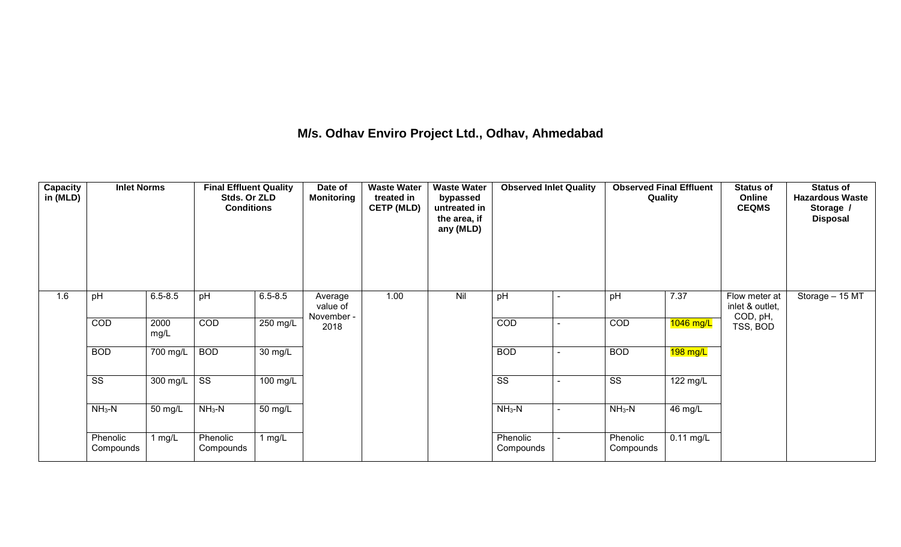## **M/s. Odhav Enviro Project Ltd., Odhav, Ahmedabad**

| <b>Capacity</b><br>in (MLD) | <b>Inlet Norms</b>     |              | <b>Final Effluent Quality</b><br>Stds. Or ZLD<br><b>Conditions</b> |                    | Date of<br><b>Monitoring</b>      | <b>Waste Water</b><br>treated in<br><b>CETP (MLD)</b> | <b>Waste Water</b><br>bypassed<br>untreated in<br>the area, if<br>any (MLD) | <b>Observed Inlet Quality</b> |        | <b>Observed Final Effluent</b><br>Quality |             | <b>Status of</b><br>Online<br><b>CEQMS</b>   | <b>Status of</b><br><b>Hazardous Waste</b><br>Storage /<br><b>Disposal</b> |
|-----------------------------|------------------------|--------------|--------------------------------------------------------------------|--------------------|-----------------------------------|-------------------------------------------------------|-----------------------------------------------------------------------------|-------------------------------|--------|-------------------------------------------|-------------|----------------------------------------------|----------------------------------------------------------------------------|
| 1.6                         | pH                     | $6.5 - 8.5$  | pH                                                                 | $6.5 - 8.5$        | Average<br>value of<br>November - | 1.00                                                  | Nil                                                                         | pH                            | $\sim$ | pH                                        | 7.37        | Flow meter at<br>inlet & outlet,<br>COD, pH, | Storage - 15 MT                                                            |
|                             | COD                    | 2000<br>mg/L | COD                                                                | $250 \text{ mg/L}$ | 2018                              |                                                       |                                                                             | COD                           |        | COD                                       | 1046 mg/L   | TSS, BOD                                     |                                                                            |
|                             | <b>BOD</b>             | 700 mg/L     | <b>BOD</b>                                                         | 30 mg/L            |                                   |                                                       |                                                                             | <b>BOD</b>                    |        | <b>BOD</b>                                | $198$ mg/L  |                                              |                                                                            |
|                             | $\overline{\text{ss}}$ | 300 mg/L     | $\overline{\text{ss}}$                                             | $100$ mg/L         |                                   |                                                       |                                                                             | $\overline{\text{ss}}$        |        | $\overline{\text{ss}}$                    | 122 mg/L    |                                              |                                                                            |
|                             | $NH3-N$                | 50 mg/L      | $NH3-N$                                                            | 50 mg/L            |                                   |                                                       |                                                                             | $NH3-N$                       |        | $NH3-N$                                   | 46 mg/L     |                                              |                                                                            |
|                             | Phenolic<br>Compounds  | l mg/L       | Phenolic<br>Compounds                                              | 1 $mg/L$           |                                   |                                                       |                                                                             | Phenolic<br>Compounds         |        | Phenolic<br>Compounds                     | $0.11$ mg/L |                                              |                                                                            |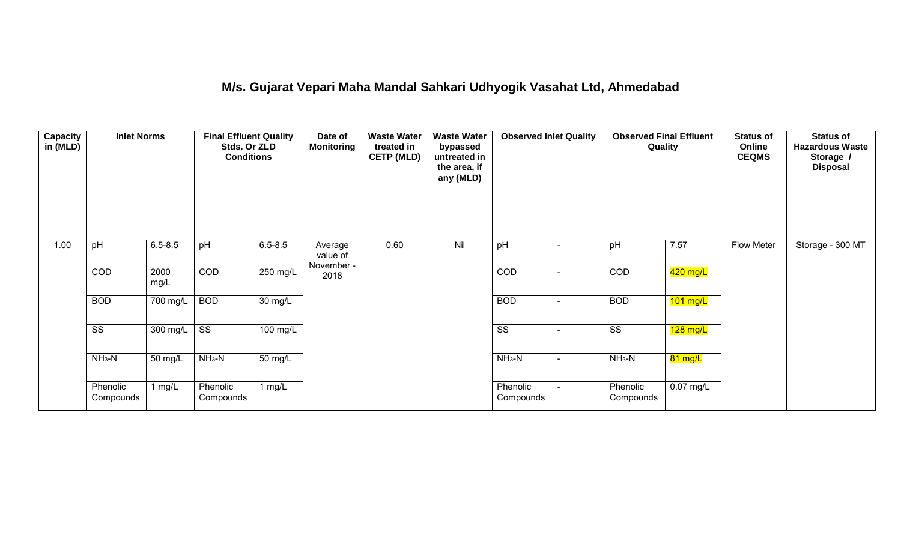## **M/s. Gujarat Vepari Maha Mandal Sahkari Udhyogik Vasahat Ltd, Ahmedabad**

| Capacity<br>in (MLD) | <b>Inlet Norms</b>     |                       | <b>Final Effluent Quality</b><br>Stds. Or ZLD<br><b>Conditions</b> |                      | Date of<br><b>Monitoring</b>      | <b>Waste Water</b><br>treated in<br><b>CETP (MLD)</b> | <b>Waste Water</b><br>bypassed<br>untreated in<br>the area, if<br>any (MLD) | <b>Observed Inlet Quality</b> |                | <b>Observed Final Effluent</b><br>Quality |                   | <b>Status of</b><br>Online<br><b>CEQMS</b> | <b>Status of</b><br><b>Hazardous Waste</b><br>Storage /<br><b>Disposal</b> |
|----------------------|------------------------|-----------------------|--------------------------------------------------------------------|----------------------|-----------------------------------|-------------------------------------------------------|-----------------------------------------------------------------------------|-------------------------------|----------------|-------------------------------------------|-------------------|--------------------------------------------|----------------------------------------------------------------------------|
| 1.00                 | pH                     | $6.5 - 8.5$           | pH                                                                 | $6.5 - 8.5$          | Average<br>value of<br>November - | 0.60                                                  | Nil                                                                         | pH                            | $\blacksquare$ | pH                                        | 7.57              | Flow Meter                                 | Storage - 300 MT                                                           |
|                      | COD                    | 2000<br>mg/L          | COD                                                                | 250 mg/L             | 2018                              |                                                       |                                                                             | COD                           |                | COD                                       | 420 mg/L          |                                            |                                                                            |
|                      | <b>BOD</b>             | $\overline{700}$ mg/L | <b>BOD</b>                                                         | 30 mg/L              |                                   |                                                       |                                                                             | <b>BOD</b>                    | ۰              | <b>BOD</b>                                | $101$ mg/L        |                                            |                                                                            |
|                      | $\overline{\text{ss}}$ | $300$ mg/L            | $\overline{\text{ss}}$                                             | $100 \text{ mg/L}$   |                                   |                                                       |                                                                             | $\overline{\text{ss}}$        |                | $\overline{\text{ss}}$                    | $128$ mg/L        |                                            |                                                                            |
|                      | $NH3-N$                | 50 mg/L               | $NH3-N$                                                            | $\overline{50}$ mg/L |                                   |                                                       |                                                                             | $NH3-N$                       | $\blacksquare$ | $NH3-N$                                   | $81 \text{ mg/L}$ |                                            |                                                                            |
|                      | Phenolic<br>Compounds  | 1 mg/L                | Phenolic<br>Compounds                                              | 1 mg/L               |                                   |                                                       |                                                                             | Phenolic<br>Compounds         |                | Phenolic<br>Compounds                     | $0.07$ mg/L       |                                            |                                                                            |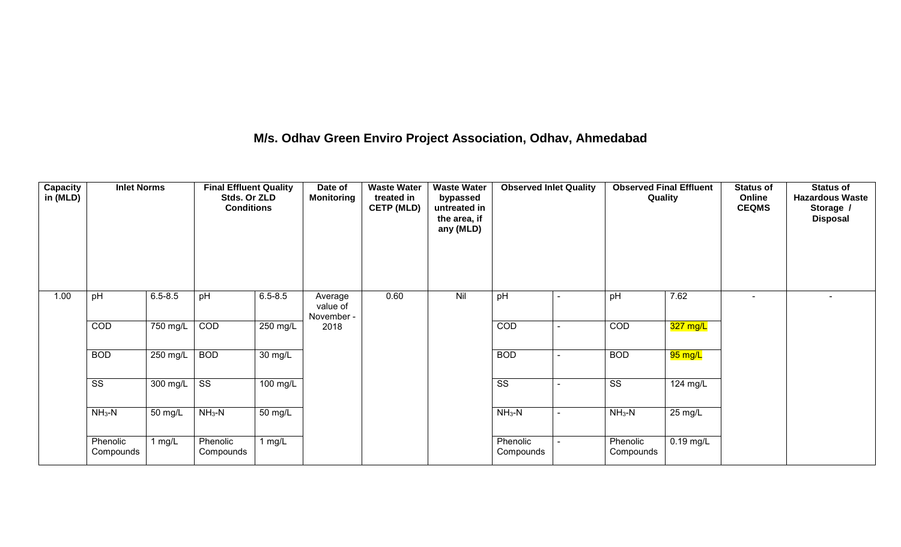## **M/s. Odhav Green Enviro Project Association, Odhav, Ahmedabad**

| Capacity<br>in (MLD) | <b>Inlet Norms</b>     |             | <b>Final Effluent Quality</b><br>Stds. Or ZLD<br><b>Conditions</b> |             | Date of<br><b>Monitoring</b>      | <b>Waste Water</b><br>treated in<br><b>CETP (MLD)</b> | <b>Waste Water</b><br>bypassed<br>untreated in<br>the area, if<br>any (MLD) | <b>Observed Inlet Quality</b> | <b>Observed Final Effluent</b><br>Quality |             | <b>Status of</b><br>Online<br><b>CEQMS</b> | <b>Status of</b><br><b>Hazardous Waste</b><br>Storage /<br><b>Disposal</b> |
|----------------------|------------------------|-------------|--------------------------------------------------------------------|-------------|-----------------------------------|-------------------------------------------------------|-----------------------------------------------------------------------------|-------------------------------|-------------------------------------------|-------------|--------------------------------------------|----------------------------------------------------------------------------|
| 1.00                 | pH                     | $6.5 - 8.5$ | pH                                                                 | $6.5 - 8.5$ | Average<br>value of<br>November - | 0.60                                                  | Nil                                                                         | pH                            | pH                                        | 7.62        | $\blacksquare$                             | $\overline{\phantom{0}}$                                                   |
|                      | COD                    | $750$ mg/L  | COD                                                                | 250 mg/L    | 2018                              |                                                       |                                                                             | COD                           | COD                                       | 327 mg/L    |                                            |                                                                            |
|                      | <b>BOD</b>             | 250 mg/L    | <b>BOD</b>                                                         | 30 mg/L     |                                   |                                                       |                                                                             | <b>BOD</b>                    | <b>BOD</b>                                | 95 mg/L     |                                            |                                                                            |
|                      | $\overline{\text{ss}}$ | 300 mg/L    | $\overline{\text{ss}}$                                             | 100 mg/L    |                                   |                                                       |                                                                             | $\overline{\text{ss}}$        | $\overline{\text{ss}}$                    | 124 mg/L    |                                            |                                                                            |
|                      | $NH3-N$                | 50 mg/L     | $NH3-N$                                                            | 50 mg/L     |                                   |                                                       |                                                                             | $NH3-N$                       | $NH3-N$                                   | 25 mg/L     |                                            |                                                                            |
|                      | Phenolic<br>Compounds  | 1 mg/L      | Phenolic<br>Compounds                                              | 1 mg/ $L$   |                                   |                                                       |                                                                             | Phenolic<br>Compounds         | Phenolic<br>Compounds                     | $0.19$ mg/L |                                            |                                                                            |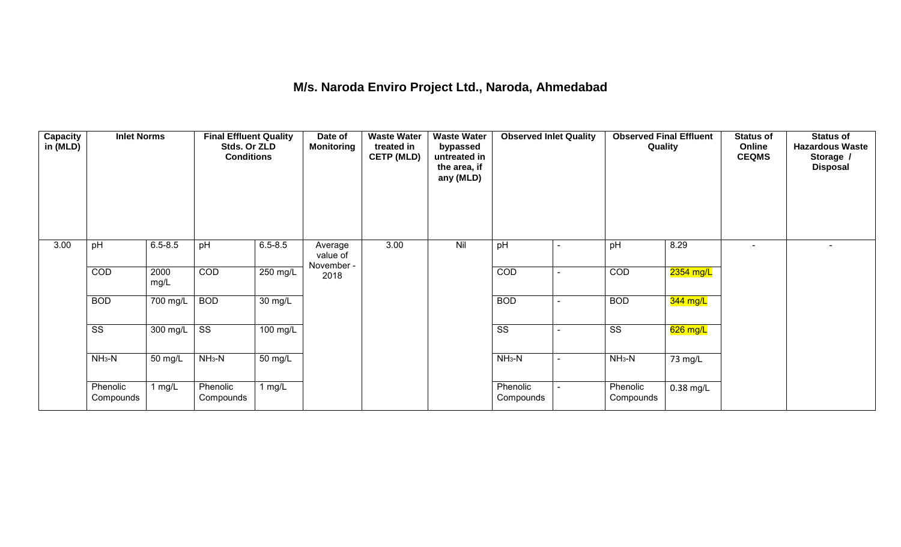## **M/s. Naroda Enviro Project Ltd., Naroda, Ahmedabad**

| <b>Capacity</b><br>in (MLD) | <b>Inlet Norms</b>     |              | <b>Final Effluent Quality</b><br>Stds. Or ZLD<br><b>Conditions</b> |                      | Date of<br><b>Monitoring</b>      | <b>Waste Water</b><br>treated in<br><b>CETP (MLD)</b> | <b>Waste Water</b><br>bypassed<br>untreated in<br>the area, if<br>any (MLD) | <b>Observed Inlet Quality</b> | <b>Observed Final Effluent</b><br>Quality |             | <b>Status of</b><br>Online<br><b>CEQMS</b> | <b>Status of</b><br><b>Hazardous Waste</b><br>Storage /<br><b>Disposal</b> |
|-----------------------------|------------------------|--------------|--------------------------------------------------------------------|----------------------|-----------------------------------|-------------------------------------------------------|-----------------------------------------------------------------------------|-------------------------------|-------------------------------------------|-------------|--------------------------------------------|----------------------------------------------------------------------------|
| 3.00                        | pH                     | $6.5 - 8.5$  | pH                                                                 | $6.5 - 8.5$          | Average<br>value of<br>November - | 3.00                                                  | Nil                                                                         | pH                            | pH                                        | 8.29        | $\overline{a}$                             |                                                                            |
|                             | COD                    | 2000<br>mg/L | COD                                                                | 250 mg/L             | 2018                              |                                                       |                                                                             | COD                           | COD                                       | $2354$ mg/L |                                            |                                                                            |
|                             | <b>BOD</b>             | 700 mg/L     | <b>BOD</b>                                                         | $\overline{30}$ mg/L |                                   |                                                       |                                                                             | <b>BOD</b>                    | <b>BOD</b>                                | 344 mg/L    |                                            |                                                                            |
|                             | $\overline{\text{ss}}$ | $300$ mg/L   | $\overline{\text{ss}}$                                             | $100$ mg/L           |                                   |                                                       |                                                                             | $\overline{\text{ss}}$        | $\overline{\text{ss}}$                    | $626$ mg/L  |                                            |                                                                            |
|                             | $NH3-N$                | 50 mg/L      | $NH3-N$                                                            | $\overline{50}$ mg/L |                                   |                                                       |                                                                             | $NH3-N$                       | $NH3-N$                                   | 73 mg/L     |                                            |                                                                            |
|                             | Phenolic<br>Compounds  | 1 mg/L       | Phenolic<br>Compounds                                              | 1 $mg/L$             |                                   |                                                       |                                                                             | Phenolic<br>Compounds         | Phenolic<br>Compounds                     | $0.38$ mg/L |                                            |                                                                            |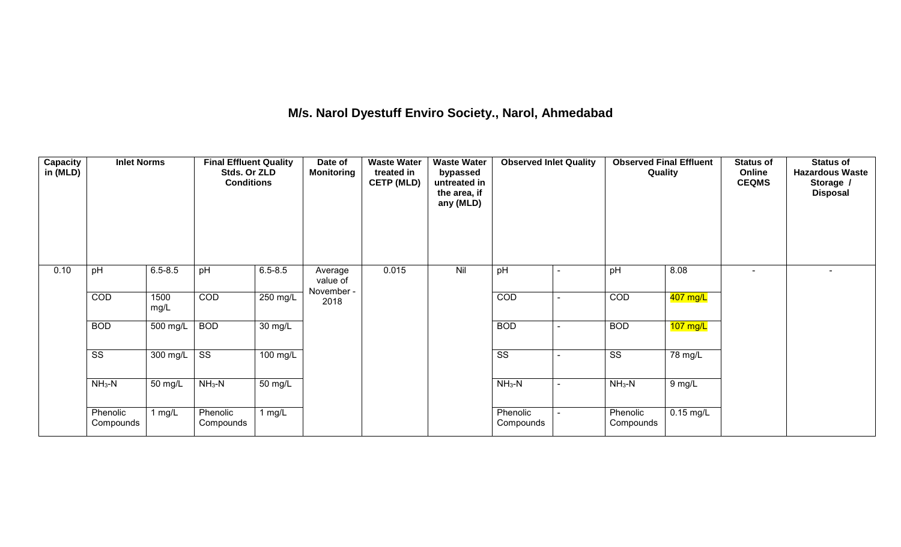## **M/s. Narol Dyestuff Enviro Society., Narol, Ahmedabad**

| <b>Capacity</b><br>in (MLD) | <b>Inlet Norms</b>     |                    | <b>Final Effluent Quality</b><br>Stds. Or ZLD<br><b>Conditions</b> |                      | Date of<br><b>Monitoring</b>      | <b>Waste Water</b><br>treated in<br><b>CETP (MLD)</b> | <b>Waste Water</b><br>bypassed<br>untreated in<br>the area, if<br>any (MLD) | <b>Observed Inlet Quality</b> | <b>Observed Final Effluent</b><br>Quality |             | <b>Status of</b><br>Online<br><b>CEQMS</b> | <b>Status of</b><br><b>Hazardous Waste</b><br>Storage /<br><b>Disposal</b> |
|-----------------------------|------------------------|--------------------|--------------------------------------------------------------------|----------------------|-----------------------------------|-------------------------------------------------------|-----------------------------------------------------------------------------|-------------------------------|-------------------------------------------|-------------|--------------------------------------------|----------------------------------------------------------------------------|
| 0.10                        | pH                     | $6.5 - 8.5$        | pH                                                                 | $6.5 - 8.5$          | Average<br>value of<br>November - | 0.015                                                 | Nil                                                                         | pH                            | pH                                        | 8.08        | $\blacksquare$                             |                                                                            |
|                             | COD                    | 1500<br>mg/L       | COD                                                                | 250 mg/L             | 2018                              |                                                       |                                                                             | COD                           | <b>COD</b>                                | 407 mg/L    |                                            |                                                                            |
|                             | <b>BOD</b>             | 500 mg/L           | <b>BOD</b>                                                         | 30 mg/L              |                                   |                                                       |                                                                             | <b>BOD</b>                    | <b>BOD</b>                                | $107$ mg/L  |                                            |                                                                            |
|                             | $\overline{\text{ss}}$ | $300 \text{ mg/L}$ | $\overline{\text{ss}}$                                             | 100 mg/L             |                                   |                                                       |                                                                             | $\overline{\text{ss}}$        | $\overline{\text{ss}}$                    | 78 mg/L     |                                            |                                                                            |
|                             | $NH3-N$                | 50 mg/L            | $NH3-N$                                                            | $\overline{50}$ mg/L |                                   |                                                       |                                                                             | $NH3-N$                       | $NH3-N$                                   | $9$ mg/L    |                                            |                                                                            |
|                             | Phenolic<br>Compounds  | 1 $mg/L$           | Phenolic<br>Compounds                                              | 1 $mg/L$             |                                   |                                                       |                                                                             | Phenolic<br>Compounds         | Phenolic<br>Compounds                     | $0.15$ mg/L |                                            |                                                                            |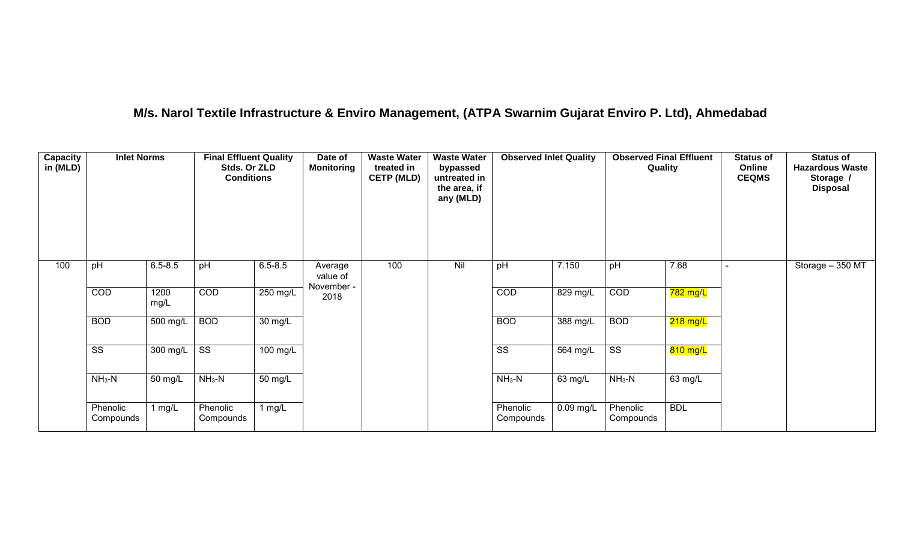## **M/s. Narol Textile Infrastructure & Enviro Management, (ATPA Swarnim Gujarat Enviro P. Ltd), Ahmedabad**

| <b>Capacity</b><br>in (MLD) | <b>Inlet Norms</b>     |                  | <b>Final Effluent Quality</b><br>Stds. Or ZLD<br><b>Conditions</b> |                      | Date of<br><b>Monitoring</b>      | <b>Waste Water</b><br>treated in<br><b>CETP (MLD)</b> | <b>Waste Water</b><br>bypassed<br>untreated in<br>the area, if<br>any (MLD) | <b>Observed Inlet Quality</b> |             | <b>Observed Final Effluent</b><br>Quality |            | <b>Status of</b><br>Online<br><b>CEQMS</b> | <b>Status of</b><br><b>Hazardous Waste</b><br>Storage /<br><b>Disposal</b> |
|-----------------------------|------------------------|------------------|--------------------------------------------------------------------|----------------------|-----------------------------------|-------------------------------------------------------|-----------------------------------------------------------------------------|-------------------------------|-------------|-------------------------------------------|------------|--------------------------------------------|----------------------------------------------------------------------------|
| 100                         | pH                     | $6.5 - 8.5$      | pH                                                                 | $6.5 - 8.5$          | Average<br>value of<br>November - | 100                                                   | Nil                                                                         | pH                            | 7.150       | pH                                        | 7.68       |                                            | Storage - 350 MT                                                           |
|                             | COD                    | 1200<br>mg/L     | COD                                                                | $250$ mg/L           | 2018                              |                                                       |                                                                             | COD                           | 829 mg/L    | COD                                       | 782 mg/L   |                                            |                                                                            |
|                             | <b>BOD</b>             | $500$ mg/L       | <b>BOD</b>                                                         | $\overline{30}$ mg/L |                                   |                                                       |                                                                             | <b>BOD</b>                    | 388 mg/L    | <b>BOD</b>                                | $218$ mg/L |                                            |                                                                            |
|                             | $\overline{\text{ss}}$ | 300 mg/L $\vert$ | $\overline{\text{ss}}$                                             | 100 mg/L             |                                   |                                                       |                                                                             | $\overline{\text{ss}}$        | 564 mg/L    | $\overline{\text{ss}}$                    | 810 mg/L   |                                            |                                                                            |
|                             | $NH3-N$                | 50 mg/L          | $NH3-N$                                                            | 50 mg/L              |                                   |                                                       |                                                                             | $NH3-N$                       | 63 mg/L     | $NH3-N$                                   | 63 mg/L    |                                            |                                                                            |
|                             | Phenolic<br>Compounds  | 1 $mg/L$         | Phenolic<br>Compounds                                              | 1 $mg/L$             |                                   |                                                       |                                                                             | Phenolic<br>Compounds         | $0.09$ mg/L | Phenolic<br>Compounds                     | <b>BDL</b> |                                            |                                                                            |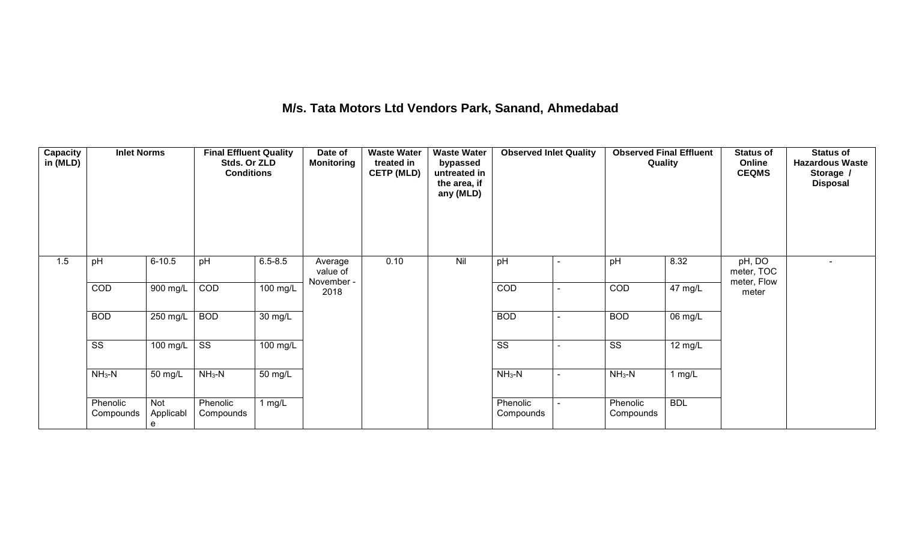## **M/s. Tata Motors Ltd Vendors Park, Sanand, Ahmedabad**

| Capacity<br>in (MLD) | <b>Inlet Norms</b>     |                       | <b>Final Effluent Quality</b><br>Stds. Or ZLD<br><b>Conditions</b> |                       | Date of<br><b>Monitoring</b>      | <b>Waste Water</b><br>treated in<br><b>CETP (MLD)</b> | <b>Waste Water</b><br>bypassed<br>untreated in<br>the area, if<br>any (MLD) | <b>Observed Inlet Quality</b> |                | <b>Observed Final Effluent</b><br>Quality |                   | <b>Status of</b><br>Online<br><b>CEQMS</b> | <b>Status of</b><br><b>Hazardous Waste</b><br>Storage /<br><b>Disposal</b> |
|----------------------|------------------------|-----------------------|--------------------------------------------------------------------|-----------------------|-----------------------------------|-------------------------------------------------------|-----------------------------------------------------------------------------|-------------------------------|----------------|-------------------------------------------|-------------------|--------------------------------------------|----------------------------------------------------------------------------|
| 1.5                  | pH                     | $6 - 10.5$            | pH                                                                 | $6.5 - 8.5$           | Average<br>value of<br>November - | 0.10                                                  | Nil                                                                         | pH                            |                | pH                                        | 8.32              | pH, DO<br>meter, TOC<br>meter, Flow        |                                                                            |
|                      | COD                    | 900 mg/L              | COD                                                                | $100$ mg/L            | 2018                              |                                                       |                                                                             | COD                           |                | COD                                       | $47 \text{ mg/L}$ | meter                                      |                                                                            |
|                      | <b>BOD</b>             | $250$ mg/L            | <b>BOD</b>                                                         | 30 mg/L               |                                   |                                                       |                                                                             | <b>BOD</b>                    |                | <b>BOD</b>                                | 06 mg/L           |                                            |                                                                            |
|                      | $\overline{\text{ss}}$ | 100 mg/L              | $\overline{\text{ss}}$                                             | $\overline{100}$ mg/L |                                   |                                                       |                                                                             | $\overline{\text{ss}}$        |                | $\overline{\text{SS}}$                    | 12 mg/L           |                                            |                                                                            |
|                      | $NH3-N$                | 50 mg/L               | $NH3-N$                                                            | 50 mg/L               |                                   |                                                       |                                                                             | $NH_3-N$                      | $\overline{a}$ | $NH_3-N$                                  | 1 mg/L            |                                            |                                                                            |
|                      | Phenolic<br>Compounds  | Not<br>Applicabl<br>e | Phenolic<br>Compounds                                              | 1 $mg/L$              |                                   |                                                       |                                                                             | Phenolic<br>Compounds         |                | Phenolic<br>Compounds                     | <b>BDL</b>        |                                            |                                                                            |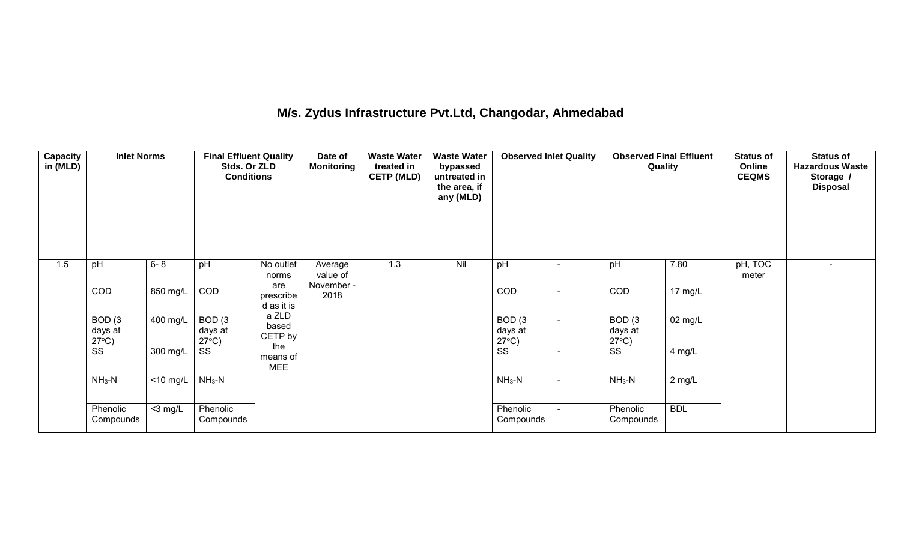## **M/s. Zydus Infrastructure Pvt.Ltd, Changodar, Ahmedabad**

| <b>Capacity</b><br>in (MLD) | <b>Inlet Norms</b>                              |                      | <b>Final Effluent Quality</b><br>Stds. Or ZLD<br><b>Conditions</b> |                               | Date of<br><b>Monitoring</b>      | <b>Waste Water</b><br>treated in<br><b>CETP (MLD)</b> | <b>Waste Water</b><br>bypassed<br>untreated in<br>the area, if<br>any (MLD) | <b>Observed Inlet Quality</b>                   |                | <b>Observed Final Effluent</b><br>Quality       |                   | <b>Status of</b><br>Online<br><b>CEQMS</b> | <b>Status of</b><br><b>Hazardous Waste</b><br>Storage /<br><b>Disposal</b> |
|-----------------------------|-------------------------------------------------|----------------------|--------------------------------------------------------------------|-------------------------------|-----------------------------------|-------------------------------------------------------|-----------------------------------------------------------------------------|-------------------------------------------------|----------------|-------------------------------------------------|-------------------|--------------------------------------------|----------------------------------------------------------------------------|
| 1.5                         | pH                                              | $6 - 8$              | pH                                                                 | No outlet<br>norms<br>are     | Average<br>value of<br>November - | 1.3                                                   | Nil                                                                         | pH                                              | ۰              | pH                                              | 7.80              | pH, TOC<br>meter                           | $\blacksquare$                                                             |
|                             | COD                                             | 850 mg/L             | COD                                                                | prescribe<br>d as it is       | 2018                              |                                                       |                                                                             | COD                                             | $\blacksquare$ | COD                                             | $17 \text{ mg/L}$ |                                            |                                                                            |
|                             | BOD <sub>(3</sub><br>days at<br>$27^{\circ}C$ ) | 400 mg/L             | BOD <sub>(3</sub><br>days at<br>$27^{\circ}C$ )                    | a ZLD<br>based<br>CETP by     |                                   |                                                       |                                                                             | BOD <sub>(3</sub><br>days at<br>$27^{\circ}C$ ) | $\blacksquare$ | BOD <sub>(3</sub><br>days at<br>$27^{\circ}C$ ) | 02 mg/L           |                                            |                                                                            |
|                             | SS                                              | 300 mg/L             | SS                                                                 | the<br>means of<br><b>MEE</b> |                                   |                                                       |                                                                             | SS                                              | $\overline{a}$ | SS                                              | 4 mg/L            |                                            |                                                                            |
|                             | $NH3-N$                                         | $\overline{10}$ mg/L | $NH3-N$                                                            |                               |                                   |                                                       |                                                                             | $NH3-N$                                         | $\blacksquare$ | $NH3-N$                                         | 2 mg/L            |                                            |                                                                            |
|                             | Phenolic<br>Compounds                           | $<$ 3 mg/L           | Phenolic<br>Compounds                                              |                               |                                   |                                                       |                                                                             | Phenolic<br>Compounds                           |                | Phenolic<br>Compounds                           | <b>BDL</b>        |                                            |                                                                            |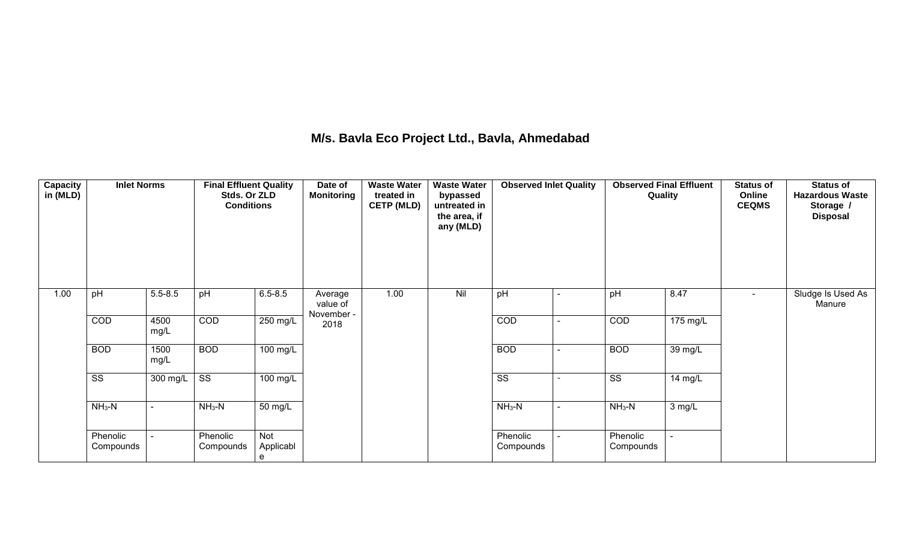## **M/s. Bavla Eco Project Ltd., Bavla, Ahmedabad**

| Capacity<br>in (MLD) | <b>Inlet Norms</b>     |              | <b>Final Effluent Quality</b><br>Stds. Or ZLD<br><b>Conditions</b> |                       | Date of<br><b>Monitoring</b>      | <b>Waste Water</b><br>treated in<br><b>CETP (MLD)</b> | <b>Waste Water</b><br>bypassed<br>untreated in<br>the area, if<br>any (MLD) | <b>Observed Inlet Quality</b> | <b>Observed Final Effluent</b><br>Quality |                    | <b>Status of</b><br>Online<br><b>CEQMS</b> | <b>Status of</b><br><b>Hazardous Waste</b><br>Storage /<br><b>Disposal</b> |
|----------------------|------------------------|--------------|--------------------------------------------------------------------|-----------------------|-----------------------------------|-------------------------------------------------------|-----------------------------------------------------------------------------|-------------------------------|-------------------------------------------|--------------------|--------------------------------------------|----------------------------------------------------------------------------|
| 1.00                 | pH                     | $5.5 - 8.5$  | pH                                                                 | $6.5 - 8.5$           | Average<br>value of<br>November - | 1.00                                                  | Nil                                                                         | pH                            | pH                                        | 8.47               | $\blacksquare$                             | Sludge Is Used As<br>Manure                                                |
|                      | COD                    | 4500<br>mg/L | COD                                                                | 250 mg/L              | 2018                              |                                                       |                                                                             | COD                           | COD                                       | $175 \text{ mg/L}$ |                                            |                                                                            |
|                      | <b>BOD</b>             | 1500<br>mg/L | <b>BOD</b>                                                         | 100 mg/L              |                                   |                                                       |                                                                             | <b>BOD</b>                    | <b>BOD</b>                                | 39 mg/L            |                                            |                                                                            |
|                      | $\overline{\text{ss}}$ | 300 mg/L     | $\overline{\text{SS}}$                                             | 100 mg/L              |                                   |                                                       |                                                                             | $\overline{\text{ss}}$        | $\overline{\text{SS}}$                    | 14 mg/L            |                                            |                                                                            |
|                      | $NH3-N$                |              | $NH3-N$                                                            | $50 \text{ mg/L}$     |                                   |                                                       |                                                                             | $NH_3-N$                      | $NH_3-N$                                  | 3 mg/L             |                                            |                                                                            |
|                      | Phenolic<br>Compounds  |              | Phenolic<br>Compounds                                              | Not<br>Applicabl<br>e |                                   |                                                       |                                                                             | Phenolic<br>Compounds         | Phenolic<br>Compounds                     |                    |                                            |                                                                            |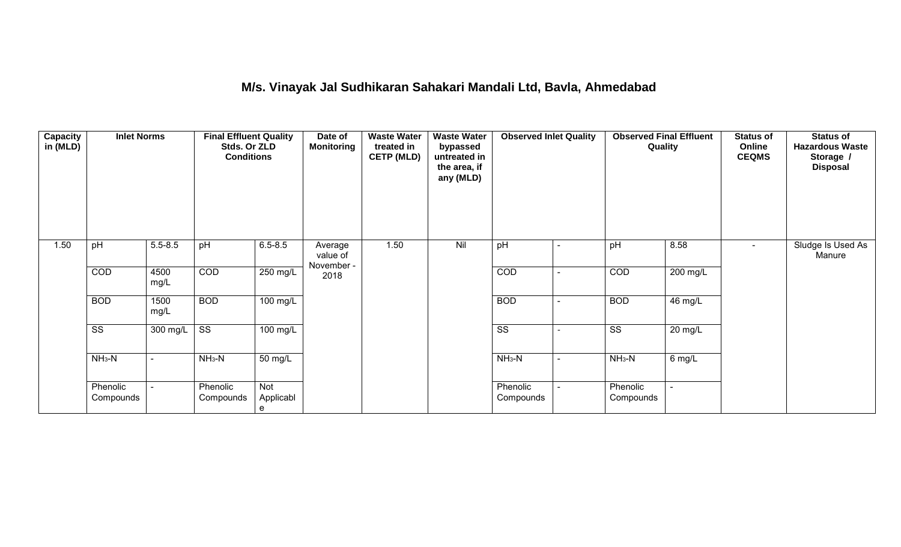## **M/s. Vinayak Jal Sudhikaran Sahakari Mandali Ltd, Bavla, Ahmedabad**

| Capacity<br>in (MLD) | <b>Inlet Norms</b>     |              | <b>Final Effluent Quality</b><br>Stds. Or ZLD<br><b>Conditions</b> |                       | Date of<br><b>Monitoring</b>      | <b>Waste Water</b><br>treated in<br><b>CETP (MLD)</b> | <b>Waste Water</b><br>bypassed<br>untreated in<br>the area, if<br>any (MLD) | <b>Observed Inlet Quality</b> |                          |                        | <b>Observed Final Effluent</b><br>Quality | <b>Status of</b><br>Online<br><b>CEQMS</b> | <b>Status of</b><br><b>Hazardous Waste</b><br>Storage /<br><b>Disposal</b> |
|----------------------|------------------------|--------------|--------------------------------------------------------------------|-----------------------|-----------------------------------|-------------------------------------------------------|-----------------------------------------------------------------------------|-------------------------------|--------------------------|------------------------|-------------------------------------------|--------------------------------------------|----------------------------------------------------------------------------|
| 1.50                 | pH                     | $5.5 - 8.5$  | pH                                                                 | $6.5 - 8.5$           | Average<br>value of<br>November - | 1.50                                                  | Nil                                                                         | pH                            |                          | pH                     | 8.58                                      | $\sim$                                     | Sludge Is Used As<br>Manure                                                |
|                      | COD                    | 4500<br>mg/L | COD                                                                | 250 mg/L              | 2018                              |                                                       |                                                                             | COD                           | ٠                        | COD                    | 200 mg/L                                  |                                            |                                                                            |
|                      | <b>BOD</b>             | 1500<br>mg/L | <b>BOD</b>                                                         | $100 \text{ mg/L}$    |                                   |                                                       |                                                                             | <b>BOD</b>                    | $\overline{\phantom{a}}$ | <b>BOD</b>             | 46 mg/L                                   |                                            |                                                                            |
|                      | $\overline{\text{ss}}$ | 300 mg/L     | $\overline{\text{SS}}$                                             | 100 mg/L              |                                   |                                                       |                                                                             | $\overline{\text{ss}}$        | $\overline{\phantom{a}}$ | $\overline{\text{ss}}$ | 20 mg/L                                   |                                            |                                                                            |
|                      | $NH3-N$                |              | $NH3-N$                                                            | 50 mg/L               |                                   |                                                       |                                                                             | $NH_3-N$                      | $\blacksquare$           | $NH3-N$                | 6 mg/L                                    |                                            |                                                                            |
|                      | Phenolic<br>Compounds  |              | Phenolic<br>Compounds                                              | Not<br>Applicabl<br>e |                                   |                                                       |                                                                             | Phenolic<br>Compounds         |                          | Phenolic<br>Compounds  |                                           |                                            |                                                                            |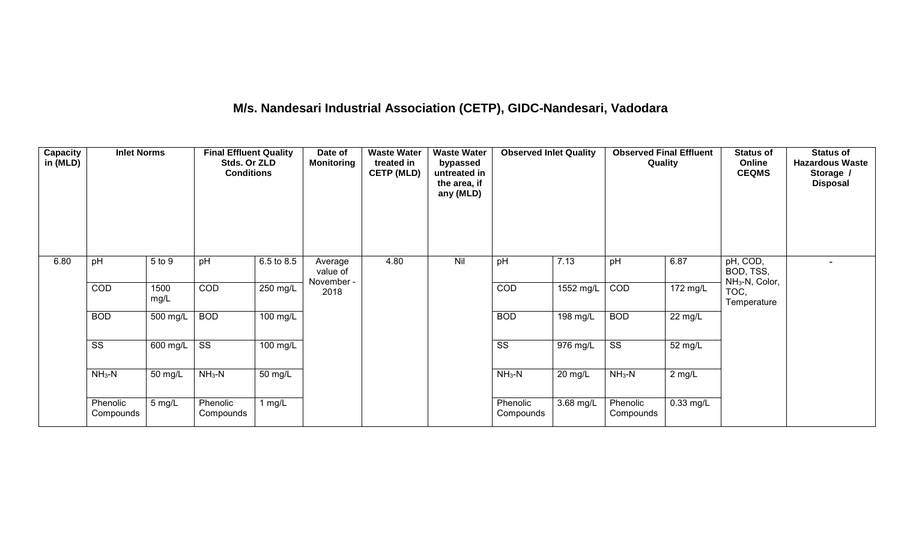# **M/s. Nandesari Industrial Association (CETP), GIDC-Nandesari, Vadodara**

| <b>Capacity</b><br>in (MLD) | <b>Inlet Norms</b>     |              | <b>Final Effluent Quality</b><br>Stds. Or ZLD<br><b>Conditions</b> |            | Date of<br><b>Monitoring</b>      | <b>Waste Water</b><br>treated in<br><b>CETP (MLD)</b> | <b>Waste Water</b><br>bypassed<br>untreated in<br>the area, if<br>any (MLD) | <b>Observed Inlet Quality</b> |                       | <b>Observed Final Effluent</b><br>Quality |                   | <b>Status of</b><br>Online<br><b>CEQMS</b>          | <b>Status of</b><br><b>Hazardous Waste</b><br>Storage /<br><b>Disposal</b> |
|-----------------------------|------------------------|--------------|--------------------------------------------------------------------|------------|-----------------------------------|-------------------------------------------------------|-----------------------------------------------------------------------------|-------------------------------|-----------------------|-------------------------------------------|-------------------|-----------------------------------------------------|----------------------------------------------------------------------------|
| 6.80                        | pH                     | 5 to 9       | pH                                                                 | 6.5 to 8.5 | Average<br>value of<br>November - | 4.80                                                  | Nil                                                                         | pH                            | 7.13                  | pH                                        | 6.87              | pH, COD,<br>BOD, TSS,<br>NH <sub>3</sub> -N, Color, |                                                                            |
|                             | COD                    | 1500<br>mg/L | COD                                                                | 250 mg/L   | 2018                              |                                                       |                                                                             | COD                           | 1552 mg/L             | COD                                       | 172 mg/L          | TOC,<br>Temperature                                 |                                                                            |
|                             | <b>BOD</b>             | 500 mg/L     | <b>BOD</b>                                                         | $100$ mg/L |                                   |                                                       |                                                                             | <b>BOD</b>                    | 198 mg/L              | <b>BOD</b>                                | $22 \text{ mg/L}$ |                                                     |                                                                            |
|                             | $\overline{\text{ss}}$ | 600 mg/L     | $\overline{\text{ss}}$                                             | 100 mg/L   |                                   |                                                       |                                                                             | $\overline{\text{ss}}$        | $\overline{976}$ mg/L | $\overline{\text{ss}}$                    | 52 mg/L           |                                                     |                                                                            |
|                             | $NH3-N$                | 50 mg/L      | $NH3-N$                                                            | 50 mg/L    |                                   |                                                       |                                                                             | $NH3-N$                       | 20 mg/L               | $NH3-N$                                   | $2$ mg/L          |                                                     |                                                                            |
|                             | Phenolic<br>Compounds  | 5 mg/L       | Phenolic<br>Compounds                                              | 1 $mg/L$   |                                   |                                                       |                                                                             | Phenolic<br>Compounds         | 3.68 mg/L             | Phenolic<br>Compounds                     | 0.33 mg/L         |                                                     |                                                                            |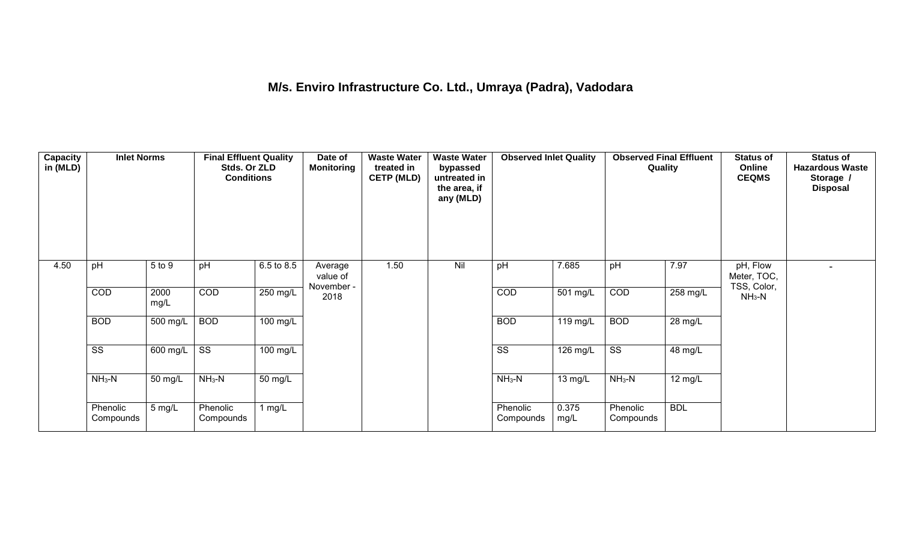## **M/s. Enviro Infrastructure Co. Ltd., Umraya (Padra), Vadodara**

| Capacity<br>in (MLD) | <b>Inlet Norms</b>     |              | <b>Final Effluent Quality</b><br>Stds. Or ZLD<br><b>Conditions</b> |                       | Date of<br><b>Monitoring</b>      | <b>Waste Water</b><br>treated in<br><b>CETP (MLD)</b> | <b>Waste Water</b><br>bypassed<br>untreated in<br>the area, if<br>any (MLD) | <b>Observed Inlet Quality</b> |                    | <b>Observed Final Effluent</b><br>Quality |            | <b>Status of</b><br>Online<br><b>CEQMS</b> | <b>Status of</b><br><b>Hazardous Waste</b><br>Storage /<br><b>Disposal</b> |
|----------------------|------------------------|--------------|--------------------------------------------------------------------|-----------------------|-----------------------------------|-------------------------------------------------------|-----------------------------------------------------------------------------|-------------------------------|--------------------|-------------------------------------------|------------|--------------------------------------------|----------------------------------------------------------------------------|
| 4.50                 | pH                     | 5 to 9       | pH                                                                 | 6.5 to 8.5            | Average<br>value of<br>November - | 1.50                                                  | Nil                                                                         | pH                            | 7.685              | pH                                        | 7.97       | pH, Flow<br>Meter, TOC,<br>TSS, Color,     |                                                                            |
|                      | COD                    | 2000<br>mg/L | COD                                                                | 250 mg/L              | 2018                              |                                                       |                                                                             | COD                           | 501 mg/L           | COD                                       | 258 mg/L   | $NH3-N$                                    |                                                                            |
|                      | <b>BOD</b>             | 500 mg/L     | <b>BOD</b>                                                         | $\overline{100}$ mg/L |                                   |                                                       |                                                                             | <b>BOD</b>                    | $119 \text{ mg/L}$ | <b>BOD</b>                                | 28 mg/L    |                                            |                                                                            |
|                      | $\overline{\text{ss}}$ | 600 mg/L     | $\overline{\text{ss}}$                                             | $100$ mg/L            |                                   |                                                       |                                                                             | $\overline{\text{ss}}$        | $126 \text{ mg/L}$ | $\overline{\text{ss}}$                    | 48 mg/L    |                                            |                                                                            |
|                      | $NH3-N$                | 50 mg/L      | $NH3-N$                                                            | 50 mg/L               |                                   |                                                       |                                                                             | $NH3-N$                       | 13 mg/L            | $NH_3-N$                                  | 12 mg/L    |                                            |                                                                            |
|                      | Phenolic<br>Compounds  | 5 mg/L       | Phenolic<br>Compounds                                              | 1 $mg/L$              |                                   |                                                       |                                                                             | Phenolic<br>Compounds         | 0.375<br>mg/L      | Phenolic<br>Compounds                     | <b>BDL</b> |                                            |                                                                            |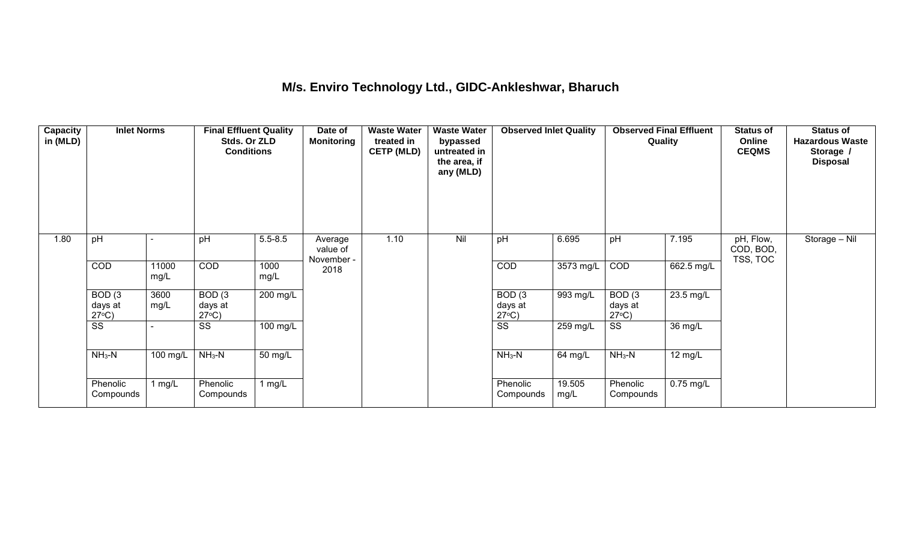#### **M/s. Enviro Technology Ltd., GIDC-Ankleshwar, Bharuch**

| Capacity<br>in (MLD) | <b>Inlet Norms</b>                   |               | <b>Final Effluent Quality</b><br>Stds. Or ZLD<br><b>Conditions</b> |              | Date of<br><b>Monitoring</b>      | <b>Waste Water</b><br>treated in<br><b>CETP (MLD)</b> | <b>Waste Water</b><br>bypassed<br>untreated in<br>the area, if<br>any (MLD) | <b>Observed Inlet Quality</b>        |                | <b>Observed Final Effluent</b><br>Quality |                   | <b>Status of</b><br>Online<br><b>CEQMS</b> | <b>Status of</b><br><b>Hazardous Waste</b><br>Storage /<br><b>Disposal</b> |
|----------------------|--------------------------------------|---------------|--------------------------------------------------------------------|--------------|-----------------------------------|-------------------------------------------------------|-----------------------------------------------------------------------------|--------------------------------------|----------------|-------------------------------------------|-------------------|--------------------------------------------|----------------------------------------------------------------------------|
| 1.80                 | pH                                   |               | pH                                                                 | $5.5 - 8.5$  | Average<br>value of<br>November - | 1.10                                                  | Nil                                                                         | pH                                   | 6.695          | pH                                        | 7.195             | pH, Flow,<br>COD, BOD,<br>TSS, TOC         | Storage - Nil                                                              |
|                      | <b>COD</b>                           | 11000<br>mg/L | COD                                                                | 1000<br>mg/L | 2018                              |                                                       |                                                                             | COD                                  | 3573 mg/L      | COD                                       | 662.5 mg/L        |                                            |                                                                            |
|                      | BOD(3)<br>days at<br>$27^{\circ}C$ ) | 3600<br>mg/L  | BOD(3)<br>days at<br>$27^{\circ}C$ )                               | 200 mg/L     |                                   |                                                       |                                                                             | BOD(3)<br>days at<br>$27^{\circ}C$ ) | $993$ mg/L     | BOD(3)<br>days at<br>$27^{\circ}C$ )      | 23.5 mg/L         |                                            |                                                                            |
|                      | $\overline{\text{ss}}$               |               | SS                                                                 | 100 mg/L     |                                   |                                                       |                                                                             | $\overline{\text{ss}}$               | 259 mg/L       | $\overline{\text{ss}}$                    | 36 mg/L           |                                            |                                                                            |
|                      | $NH3-N$                              | 100 mg/L      | $NH3-N$                                                            | 50 mg/L      |                                   |                                                       |                                                                             | $NH_3-N$                             | 64 mg/L        | $NH3-N$                                   | $12 \text{ mg/L}$ |                                            |                                                                            |
|                      | Phenolic<br>Compounds                | l mg/L        | Phenolic<br>Compounds                                              | 1 mg/L       |                                   |                                                       |                                                                             | Phenolic<br>Compounds                | 19.505<br>mg/L | Phenolic<br>Compounds                     | $0.75$ mg/L       |                                            |                                                                            |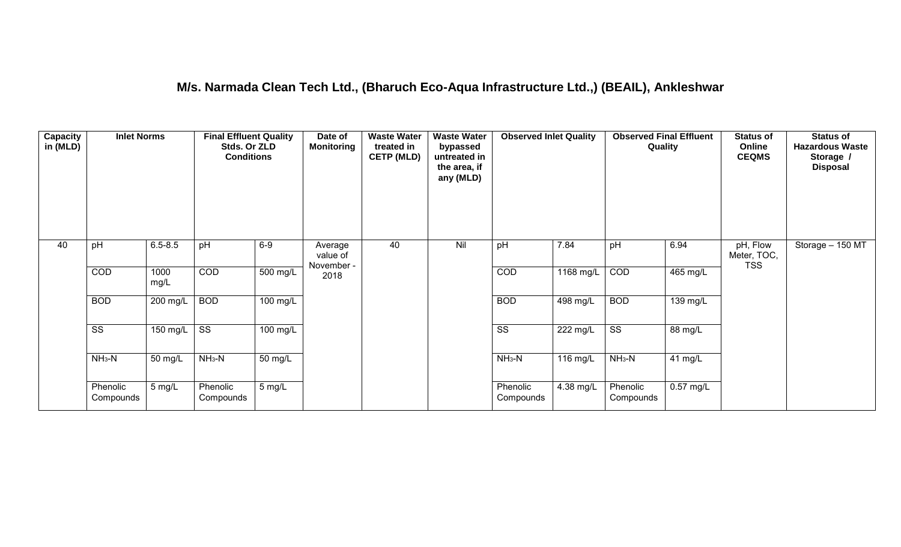#### **M/s. Narmada Clean Tech Ltd., (Bharuch Eco-Aqua Infrastructure Ltd.,) (BEAIL), Ankleshwar**

| <b>Capacity</b><br>in (MLD) | <b>Inlet Norms</b>     |               | <b>Final Effluent Quality</b><br>Stds. Or ZLD<br><b>Conditions</b> |                       | Date of<br><b>Monitoring</b>      | <b>Waste Water</b><br>treated in<br><b>CETP (MLD)</b> | <b>Waste Water</b><br>bypassed<br>untreated in<br>the area, if<br>any (MLD) | <b>Observed Inlet Quality</b> |                       | <b>Observed Final Effluent</b><br>Quality |             | <b>Status of</b><br>Online<br><b>CEQMS</b> | <b>Status of</b><br><b>Hazardous Waste</b><br>Storage /<br><b>Disposal</b> |
|-----------------------------|------------------------|---------------|--------------------------------------------------------------------|-----------------------|-----------------------------------|-------------------------------------------------------|-----------------------------------------------------------------------------|-------------------------------|-----------------------|-------------------------------------------|-------------|--------------------------------------------|----------------------------------------------------------------------------|
| 40                          | pH                     | $6.5 - 8.5$   | pH                                                                 | $6-9$                 | Average<br>value of<br>November - | 40                                                    | Nil                                                                         | pH                            | 7.84                  | pH                                        | 6.94        | pH, Flow<br>Meter, TOC,<br><b>TSS</b>      | Storage - 150 MT                                                           |
|                             | COD                    | 1000<br>mg/L  | COD                                                                | $\overline{500}$ mg/L | 2018                              |                                                       |                                                                             | COD                           | 1168 mg/L             | COD                                       | $465$ mg/L  |                                            |                                                                            |
|                             | <b>BOD</b>             | 200 mg/L      | <b>BOD</b>                                                         | $\overline{100}$ mg/L |                                   |                                                       |                                                                             | <b>BOD</b>                    | 498 mg/L              | <b>BOD</b>                                | 139 mg/L    |                                            |                                                                            |
|                             | $\overline{\text{ss}}$ | 150 $mg/L$ SS |                                                                    | $100$ mg/L            |                                   |                                                       |                                                                             | $\overline{\text{ss}}$        | $\overline{222}$ mg/L | $\overline{\text{ss}}$                    | 88 mg/L     |                                            |                                                                            |
|                             | $NH3-N$                | 50 mg/L       | $NH3-N$                                                            | 50 mg/L               |                                   |                                                       |                                                                             | $NH3-N$                       | 116 mg/L              | $NH3-N$                                   | 41 mg/L     |                                            |                                                                            |
|                             | Phenolic<br>Compounds  | 5 mg/L        | Phenolic<br>Compounds                                              | 5 mg/L                |                                   |                                                       |                                                                             | Phenolic<br>Compounds         | 4.38 mg/L             | Phenolic<br>Compounds                     | $0.57$ mg/L |                                            |                                                                            |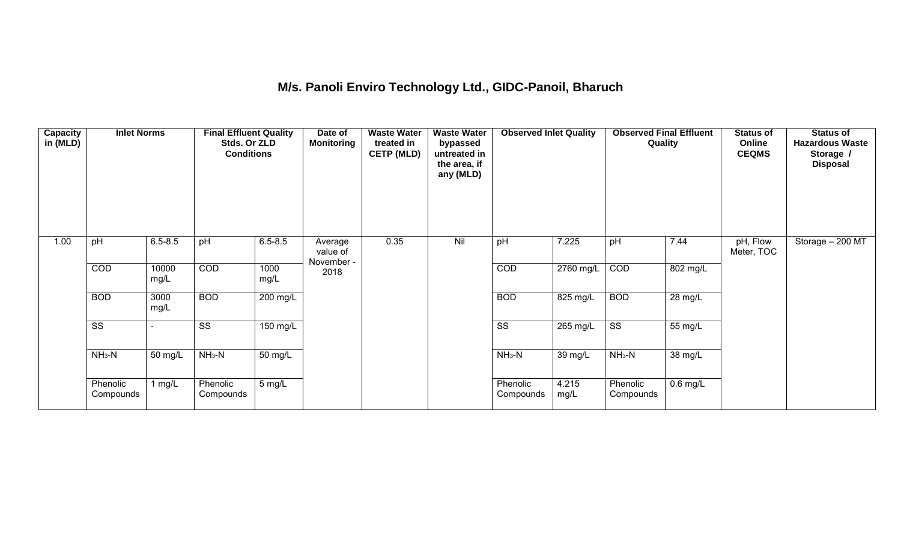## **M/s. Panoli Enviro Technology Ltd., GIDC-Panoil, Bharuch**

| Capacity<br>in (MLD) | <b>Inlet Norms</b>     |               | <b>Final Effluent Quality</b><br>Stds. Or ZLD<br><b>Conditions</b> |                  | Date of<br><b>Monitoring</b>      | <b>Waste Water</b><br>treated in<br><b>CETP (MLD)</b> | <b>Waste Water</b><br>bypassed<br>untreated in<br>the area, if<br>any (MLD) | <b>Observed Inlet Quality</b> |               | <b>Observed Final Effluent</b><br>Quality |            | <b>Status of</b><br>Online<br><b>CEQMS</b> | <b>Status of</b><br><b>Hazardous Waste</b><br>Storage /<br><b>Disposal</b> |
|----------------------|------------------------|---------------|--------------------------------------------------------------------|------------------|-----------------------------------|-------------------------------------------------------|-----------------------------------------------------------------------------|-------------------------------|---------------|-------------------------------------------|------------|--------------------------------------------|----------------------------------------------------------------------------|
| 1.00                 | pH                     | $6.5 - 8.5$   | pH                                                                 | $6.5 - 8.5$      | Average<br>value of<br>November - | 0.35                                                  | Nil                                                                         | pH                            | 7.225         | pH                                        | 7.44       | pH, Flow<br>Meter, TOC                     | Storage - 200 MT                                                           |
|                      | COD                    | 10000<br>mg/L | COD                                                                | 1000<br>mg/L     | 2018                              |                                                       |                                                                             | COD                           | 2760 mg/L     | COD                                       | 802 mg/L   |                                            |                                                                            |
|                      | <b>BOD</b>             | 3000<br>mg/L  | <b>BOD</b>                                                         | 200 mg/L         |                                   |                                                       |                                                                             | <b>BOD</b>                    | $825$ mg/L    | <b>BOD</b>                                | 28 mg/L    |                                            |                                                                            |
|                      | $\overline{\text{ss}}$ |               | $\overline{\text{ss}}$                                             | 150 mg/L         |                                   |                                                       |                                                                             | $\overline{\text{ss}}$        | 265 mg/L      | $\overline{\text{ss}}$                    | 55 mg/L    |                                            |                                                                            |
|                      | $NH3-N$                | 50 mg/L       | $NH3-N$                                                            | 50 mg/L          |                                   |                                                       |                                                                             | $NH3-N$                       | 39 mg/L       | $NH3-N$                                   | 38 mg/L    |                                            |                                                                            |
|                      | Phenolic<br>Compounds  | 1 $mg/L$      | Phenolic<br>Compounds                                              | $5 \text{ mg/L}$ |                                   |                                                       |                                                                             | Phenolic<br>Compounds         | 4.215<br>mg/L | Phenolic<br>Compounds                     | $0.6$ mg/L |                                            |                                                                            |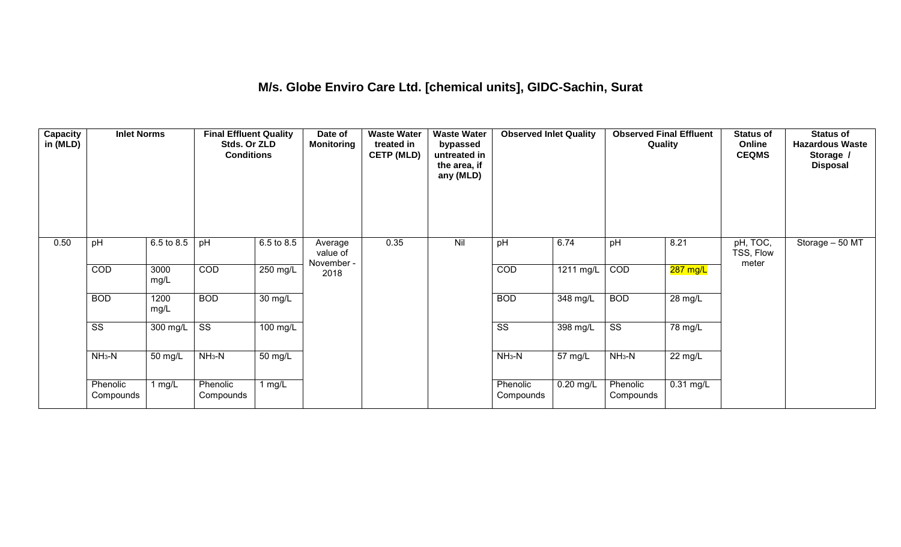#### **M/s. Globe Enviro Care Ltd. [chemical units], GIDC-Sachin, Surat**

| Capacity<br>in (MLD) | <b>Inlet Norms</b>     |              | <b>Final Effluent Quality</b><br>Stds. Or ZLD<br><b>Conditions</b> |                      | Date of<br><b>Monitoring</b>      | <b>Waste Water</b><br>treated in<br><b>CETP (MLD)</b> | <b>Waste Water</b><br>bypassed<br>untreated in<br>the area, if<br>any (MLD) | <b>Observed Inlet Quality</b> |             | <b>Observed Final Effluent</b><br>Quality |             | <b>Status of</b><br>Online<br><b>CEQMS</b> | <b>Status of</b><br><b>Hazardous Waste</b><br>Storage /<br><b>Disposal</b> |
|----------------------|------------------------|--------------|--------------------------------------------------------------------|----------------------|-----------------------------------|-------------------------------------------------------|-----------------------------------------------------------------------------|-------------------------------|-------------|-------------------------------------------|-------------|--------------------------------------------|----------------------------------------------------------------------------|
| 0.50                 | pH                     | 6.5 to 8.5   | pH                                                                 | 6.5 to 8.5           | Average<br>value of<br>November - | 0.35                                                  | Nil                                                                         | pH                            | 6.74        | pH                                        | 8.21        | pH, TOC,<br>TSS, Flow<br>meter             | Storage - 50 MT                                                            |
|                      | COD                    | 3000<br>mg/L | COD                                                                | $250$ mg/L           | 2018                              |                                                       |                                                                             | COD                           | 1211 mg/L   | COD                                       | $287$ mg/L  |                                            |                                                                            |
|                      | <b>BOD</b>             | 1200<br>mg/L | <b>BOD</b>                                                         | $\overline{30}$ mg/L |                                   |                                                       |                                                                             | <b>BOD</b>                    | 348 mg/L    | <b>BOD</b>                                | 28 mg/L     |                                            |                                                                            |
|                      | $\overline{\text{ss}}$ | $300$ mg/L   | $\overline{\text{ss}}$                                             | $100$ mg/L           |                                   |                                                       |                                                                             | $\overline{\text{ss}}$        | 398 mg/L    | $\overline{\text{ss}}$                    | 78 mg/L     |                                            |                                                                            |
|                      | $NH3-N$                | 50 mg/L      | $NH3-N$                                                            | $\overline{50}$ mg/L |                                   |                                                       |                                                                             | $NH3-N$                       | 57 mg/L     | $NH3-N$                                   | 22 mg/L     |                                            |                                                                            |
|                      | Phenolic<br>Compounds  | 1 mg/L       | Phenolic<br>Compounds                                              | 1 mg/L               |                                   |                                                       |                                                                             | Phenolic<br>Compounds         | $0.20$ mg/L | Phenolic<br>Compounds                     | $0.31$ mg/L |                                            |                                                                            |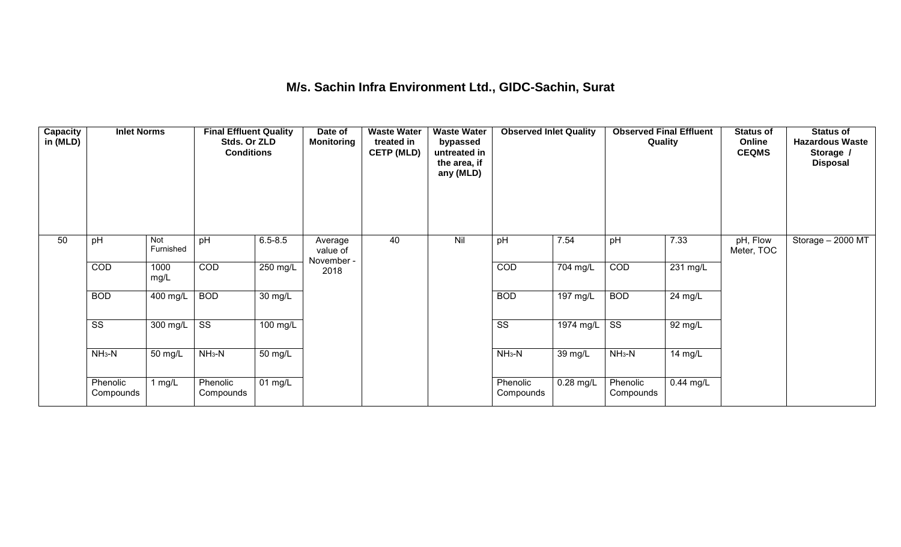#### **M/s. Sachin Infra Environment Ltd., GIDC-Sachin, Surat**

| Capacity<br>in (MLD) | <b>Inlet Norms</b>     |                  | <b>Final Effluent Quality</b><br>Stds. Or ZLD<br><b>Conditions</b> |                      | Date of<br><b>Monitoring</b>      | <b>Waste Water</b><br>treated in<br><b>CETP (MLD)</b> | <b>Waste Water</b><br>bypassed<br>untreated in<br>the area, if<br>any (MLD) | <b>Observed Inlet Quality</b> |                       | <b>Observed Final Effluent</b><br>Quality |                    | <b>Status of</b><br>Online<br><b>CEQMS</b> | <b>Status of</b><br><b>Hazardous Waste</b><br>Storage /<br><b>Disposal</b> |
|----------------------|------------------------|------------------|--------------------------------------------------------------------|----------------------|-----------------------------------|-------------------------------------------------------|-----------------------------------------------------------------------------|-------------------------------|-----------------------|-------------------------------------------|--------------------|--------------------------------------------|----------------------------------------------------------------------------|
| 50                   | pH                     | Not<br>Furnished | pH                                                                 | $6.5 - 8.5$          | Average<br>value of<br>November - | 40                                                    | Nil                                                                         | pH                            | 7.54                  | pH                                        | 7.33               | pH, Flow<br>Meter, TOC                     | Storage - 2000 MT                                                          |
|                      | COD                    | 1000<br>mg/L     | <b>COD</b>                                                         | 250 mg/L             | 2018                              |                                                       |                                                                             | COD                           | 704 mg/L              | COD                                       | $231 \text{ mg/L}$ |                                            |                                                                            |
|                      | <b>BOD</b>             | 400 mg/L         | <b>BOD</b>                                                         | $\overline{30}$ mg/L |                                   |                                                       |                                                                             | <b>BOD</b>                    | $\overline{197}$ mg/L | <b>BOD</b>                                | 24 mg/L            |                                            |                                                                            |
|                      | $\overline{\text{ss}}$ | 300 mg/L         | $\overline{\text{ss}}$                                             | $100 \text{ mg/L}$   |                                   |                                                       |                                                                             | $\overline{\text{ss}}$        | $1974$ mg/L           | $\overline{\text{ss}}$                    | 92 mg/L            |                                            |                                                                            |
|                      | $NH3-N$                | 50 mg/L          | $NH3-N$                                                            | $\overline{50}$ mg/L |                                   |                                                       |                                                                             | $NH3-N$                       | $\overline{39}$ mg/L  | $NH3-N$                                   | 14 mg/L            |                                            |                                                                            |
|                      | Phenolic<br>Compounds  | 1 mg/L           | Phenolic<br>Compounds                                              | 01 $mg/L$            |                                   |                                                       |                                                                             | Phenolic<br>Compounds         | $0.28$ mg/L           | Phenolic<br>Compounds                     | $0.44$ mg/L        |                                            |                                                                            |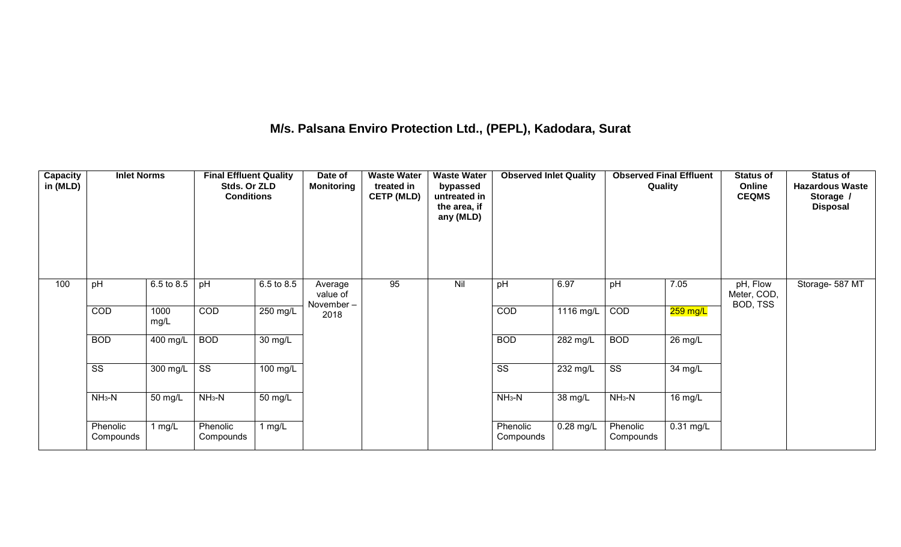## **M/s. Palsana Enviro Protection Ltd., (PEPL), Kadodara, Surat**

| Capacity<br>in (MLD) | <b>Inlet Norms</b>     |              | <b>Final Effluent Quality</b><br>Stds. Or ZLD<br><b>Conditions</b> |                       | Date of<br><b>Monitoring</b>     | <b>Waste Water</b><br>treated in<br><b>CETP (MLD)</b> | <b>Waste Water</b><br>bypassed<br>untreated in<br>the area, if<br>any (MLD) | <b>Observed Inlet Quality</b> |                    | <b>Observed Final Effluent</b><br>Quality |                      | <b>Status of</b><br>Online<br><b>CEQMS</b> | <b>Status of</b><br><b>Hazardous Waste</b><br>Storage /<br><b>Disposal</b> |
|----------------------|------------------------|--------------|--------------------------------------------------------------------|-----------------------|----------------------------------|-------------------------------------------------------|-----------------------------------------------------------------------------|-------------------------------|--------------------|-------------------------------------------|----------------------|--------------------------------------------|----------------------------------------------------------------------------|
| 100                  | pH                     | 6.5 to 8.5   | pH                                                                 | 6.5 to 8.5            | Average<br>value of<br>November- | 95                                                    | Nil                                                                         | pH                            | 6.97               | pH                                        | 7.05                 | pH, Flow<br>Meter, COD,<br>BOD, TSS        | Storage- 587 MT                                                            |
|                      | COD                    | 1000<br>mg/L | COD                                                                | $250$ mg/L            | 2018                             |                                                       |                                                                             | COD                           | 1116 mg/L          | COD                                       | $259$ mg/L           |                                            |                                                                            |
|                      | <b>BOD</b>             | 400 mg/L     | <b>BOD</b>                                                         | $30 \text{ mg/L}$     |                                  |                                                       |                                                                             | <b>BOD</b>                    | $282 \text{ mg/L}$ | <b>BOD</b>                                | $\overline{26}$ mg/L |                                            |                                                                            |
|                      | $\overline{\text{ss}}$ | 300 mg/L     | $\overline{\text{ss}}$                                             | $\overline{100}$ mg/L |                                  |                                                       |                                                                             | $\overline{\text{ss}}$        | 232 mg/L           | $\overline{\text{ss}}$                    | 34 mg/L              |                                            |                                                                            |
|                      | $NH_3-N$               | 50 mg/L      | $NH3-N$                                                            | 50 mg/L               |                                  |                                                       |                                                                             | $NH3-N$                       | 38 mg/L            | $NH_3-N$                                  | 16 mg/L              |                                            |                                                                            |
|                      | Phenolic<br>Compounds  | 1 $mg/L$     | Phenolic<br>Compounds                                              | 1 $mg/L$              |                                  |                                                       |                                                                             | Phenolic<br>Compounds         | $0.28$ mg/L        | Phenolic<br>Compounds                     | $0.31$ mg/L          |                                            |                                                                            |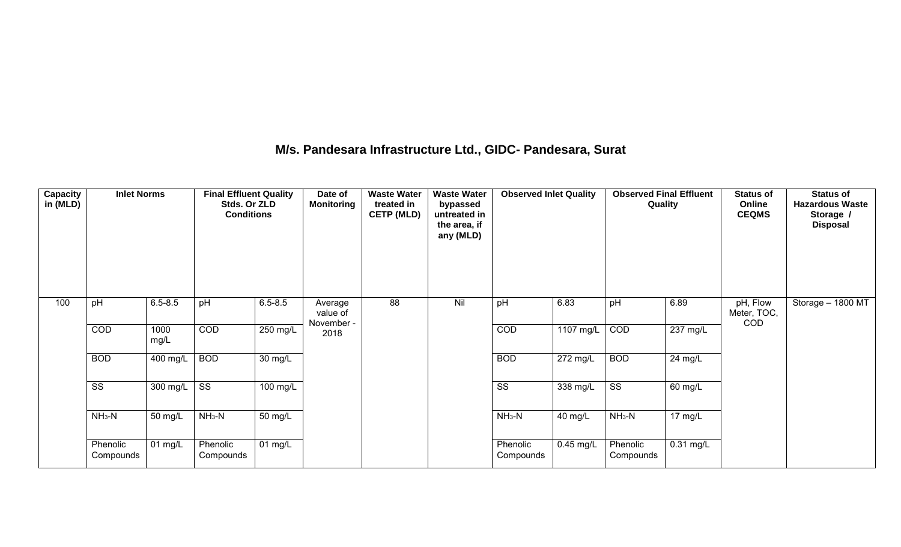#### **M/s. Pandesara Infrastructure Ltd., GIDC- Pandesara, Surat**

| Capacity<br>in (MLD) | <b>Inlet Norms</b>     |              | <b>Final Effluent Quality</b><br>Stds. Or ZLD<br><b>Conditions</b> |                      | Date of<br><b>Monitoring</b>      | <b>Waste Water</b><br>treated in<br><b>CETP (MLD)</b> | <b>Waste Water</b><br>bypassed<br>untreated in<br>the area, if<br>any (MLD) | <b>Observed Inlet Quality</b> |                               | <b>Observed Final Effluent</b><br>Quality |                    | <b>Status of</b><br>Online<br><b>CEQMS</b> | <b>Status of</b><br><b>Hazardous Waste</b><br>Storage /<br><b>Disposal</b> |
|----------------------|------------------------|--------------|--------------------------------------------------------------------|----------------------|-----------------------------------|-------------------------------------------------------|-----------------------------------------------------------------------------|-------------------------------|-------------------------------|-------------------------------------------|--------------------|--------------------------------------------|----------------------------------------------------------------------------|
| 100                  | pH                     | $6.5 - 8.5$  | pH                                                                 | $6.5 - 8.5$          | Average<br>value of<br>November - | 88                                                    | Nil                                                                         | pH                            | 6.83                          | pH                                        | 6.89               | pH, Flow<br>Meter, TOC,<br>COD             | Storage - 1800 MT                                                          |
|                      | COD                    | 1000<br>mg/L | <b>COD</b>                                                         | $250$ mg/L           | 2018                              |                                                       |                                                                             | <b>COD</b>                    | $1107 \overline{\text{mg/L}}$ | COD                                       | $237 \text{ mg/L}$ |                                            |                                                                            |
|                      | <b>BOD</b>             | 400 mg/L     | <b>BOD</b>                                                         | $\overline{30}$ mg/L |                                   |                                                       |                                                                             | <b>BOD</b>                    | $\overline{272}$ mg/L         | <b>BOD</b>                                | 24 mg/L            |                                            |                                                                            |
|                      | $\overline{\text{ss}}$ | 300 mg/L     | $\overline{\text{ss}}$                                             | $100 \text{ mg/L}$   |                                   |                                                       |                                                                             | $\overline{\text{ss}}$        | $338 \text{ mg/L}$            | $\overline{\text{ss}}$                    | 60 mg/L            |                                            |                                                                            |
|                      | $NH3-N$                | 50 mg/L      | $NH3-N$                                                            | 50 mg/L              |                                   |                                                       |                                                                             | $NH3-N$                       | 40 mg/L                       | $NH3-N$                                   | $17 \text{ mg/L}$  |                                            |                                                                            |
|                      | Phenolic<br>Compounds  | 01 mg/L      | Phenolic<br>Compounds                                              | 01 mg/L              |                                   |                                                       |                                                                             | Phenolic<br>Compounds         | $0.45$ mg/L                   | Phenolic<br>Compounds                     | $0.31$ mg/L        |                                            |                                                                            |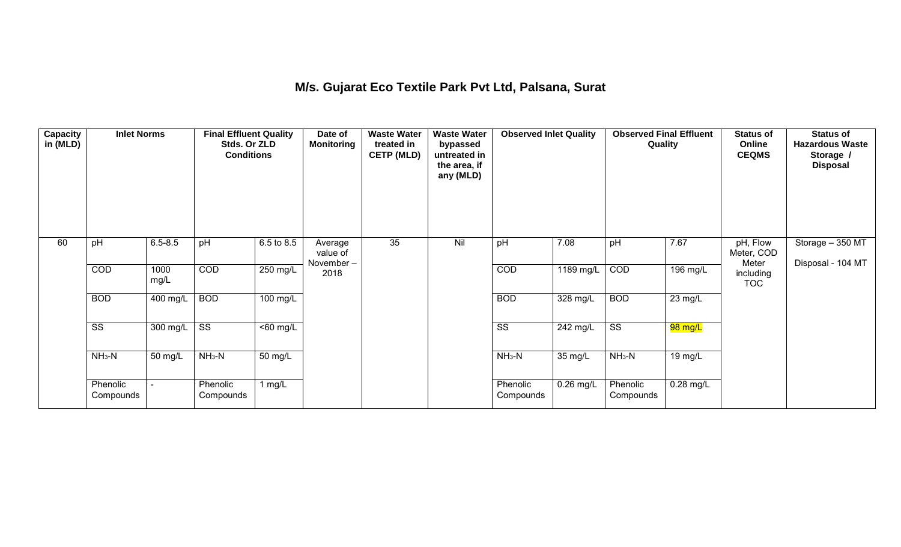## **M/s. Gujarat Eco Textile Park Pvt Ltd, Palsana, Surat**

| Capacity<br>in (MLD) | <b>Inlet Norms</b>     |              | <b>Final Effluent Quality</b><br>Stds. Or ZLD<br><b>Conditions</b> |                       | Date of<br><b>Monitoring</b>     | <b>Waste Water</b><br>treated in<br><b>CETP (MLD)</b> | <b>Waste Water</b><br>bypassed<br>untreated in<br>the area, if<br>any (MLD) | <b>Observed Inlet Quality</b> |                    | <b>Observed Final Effluent</b><br>Quality |                      | <b>Status of</b><br>Online<br><b>CEQMS</b> | <b>Status of</b><br><b>Hazardous Waste</b><br>Storage /<br><b>Disposal</b> |
|----------------------|------------------------|--------------|--------------------------------------------------------------------|-----------------------|----------------------------------|-------------------------------------------------------|-----------------------------------------------------------------------------|-------------------------------|--------------------|-------------------------------------------|----------------------|--------------------------------------------|----------------------------------------------------------------------------|
| 60                   | pH                     | $6.5 - 8.5$  | pH                                                                 | 6.5 to 8.5            | Average<br>value of<br>November- | 35                                                    | Nil                                                                         | pH                            | 7.08               | pH                                        | 7.67                 | pH, Flow<br>Meter, COD<br>Meter            | Storage - 350 MT<br>Disposal - 104 MT                                      |
|                      | COD                    | 1000<br>mg/L | COD                                                                | $250$ mg/L            | 2018                             |                                                       |                                                                             | COD                           | 1189 mg/L          | COD                                       | $196$ mg/L           | including<br><b>TOC</b>                    |                                                                            |
|                      | <b>BOD</b>             | 400 mg/L     | <b>BOD</b>                                                         | $\overline{100}$ mg/L |                                  |                                                       |                                                                             | <b>BOD</b>                    | $328$ mg/L         | <b>BOD</b>                                | $\overline{23}$ mg/L |                                            |                                                                            |
|                      | $\overline{\text{ss}}$ | 300 mg/L     | $\overline{\text{ss}}$                                             | $50 \, \text{mg/L}$   |                                  |                                                       |                                                                             | $\overline{\text{ss}}$        | $242 \text{ mg/L}$ | $\overline{\text{ss}}$                    | 98 mg/L              |                                            |                                                                            |
|                      | $NH3-N$                | 50 mg/L      | $NH3-N$                                                            | 50 mg/L               |                                  |                                                       |                                                                             | $NH3-N$                       | 35 mg/L            | $NH3-N$                                   | 19 mg/L              |                                            |                                                                            |
|                      | Phenolic<br>Compounds  |              | Phenolic<br>Compounds                                              | 1 mg/L                |                                  |                                                       |                                                                             | Phenolic<br>Compounds         | $0.26$ mg/L        | Phenolic<br>Compounds                     | $0.28$ mg/L          |                                            |                                                                            |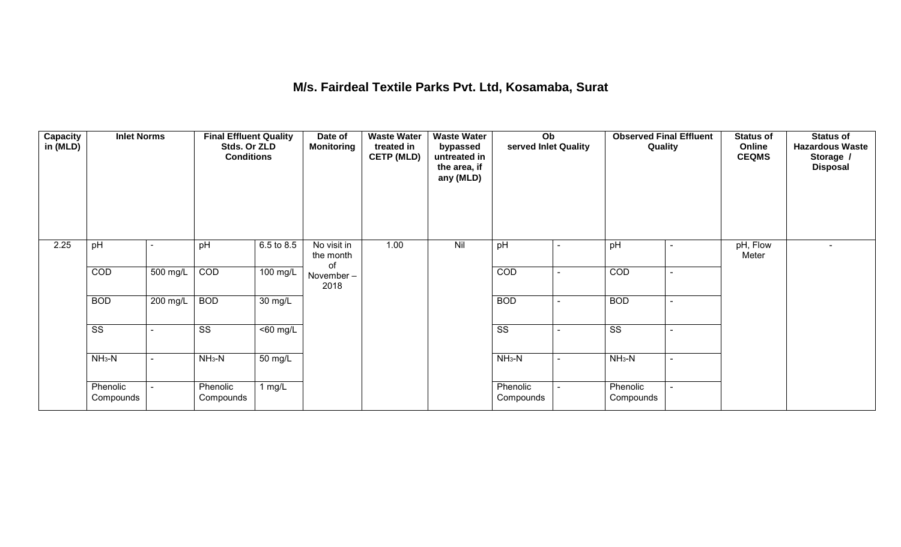#### **M/s. Fairdeal Textile Parks Pvt. Ltd, Kosamaba, Surat**

| <b>Capacity</b><br>in (MLD) | <b>Inlet Norms</b>     |                | <b>Final Effluent Quality</b><br>Stds. Or ZLD<br><b>Conditions</b> |                      | Date of<br><b>Monitoring</b>   | <b>Waste Water</b><br>treated in<br><b>CETP (MLD)</b> | <b>Waste Water</b><br>bypassed<br>untreated in<br>the area, if<br>any (MLD) | $\overline{Ob}$<br>served Inlet Quality |                | <b>Observed Final Effluent</b><br>Quality | <b>Status of</b><br>Online<br><b>CEQMS</b> | <b>Status of</b><br><b>Hazardous Waste</b><br>Storage /<br><b>Disposal</b> |
|-----------------------------|------------------------|----------------|--------------------------------------------------------------------|----------------------|--------------------------------|-------------------------------------------------------|-----------------------------------------------------------------------------|-----------------------------------------|----------------|-------------------------------------------|--------------------------------------------|----------------------------------------------------------------------------|
| 2.25                        | pH                     |                | pH                                                                 | 6.5 to 8.5           | No visit in<br>the month<br>of | 1.00                                                  | Nil                                                                         | pH                                      |                | pH                                        | pH, Flow<br>Meter                          |                                                                            |
|                             | COD                    | 500 mg/L       | COD                                                                | $100 \text{ mg/L}$   | November-<br>2018              |                                                       |                                                                             | COD                                     |                | COD                                       |                                            |                                                                            |
|                             | <b>BOD</b>             | 200 mg/L       | <b>BOD</b>                                                         | $\overline{30}$ mg/L |                                |                                                       |                                                                             | <b>BOD</b>                              |                | <b>BOD</b>                                |                                            |                                                                            |
|                             | $\overline{\text{ss}}$ |                | $\overline{\text{ss}}$                                             | $\overline{50}$ mg/L |                                |                                                       |                                                                             | $\overline{\text{ss}}$                  |                | $\overline{\text{ss}}$                    |                                            |                                                                            |
|                             | $NH3-N$                | $\blacksquare$ | $NH3-N$                                                            | $\overline{50}$ mg/L |                                |                                                       |                                                                             | $NH3-N$                                 | $\blacksquare$ | $NH3-N$                                   |                                            |                                                                            |
|                             | Phenolic<br>Compounds  |                | Phenolic<br>Compounds                                              | 1 $mg/L$             |                                |                                                       |                                                                             | Phenolic<br>Compounds                   |                | Phenolic<br>Compounds                     |                                            |                                                                            |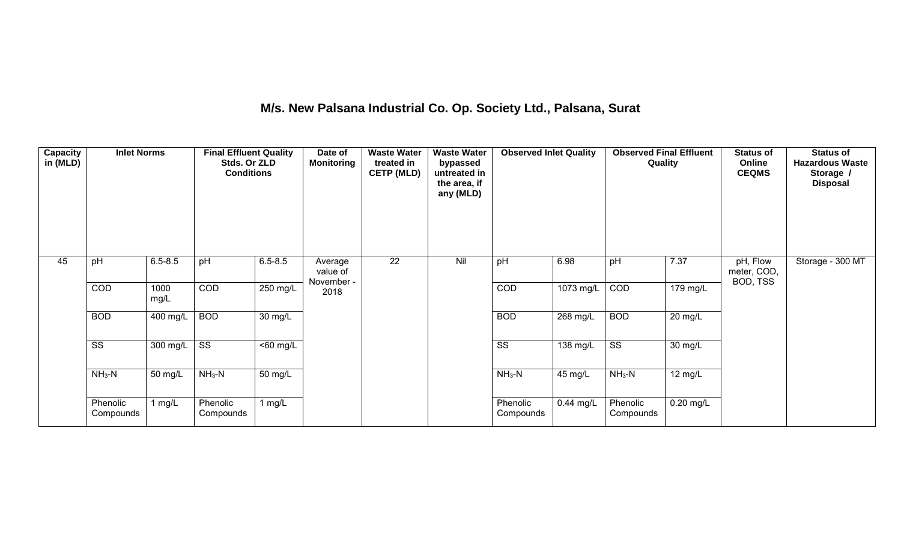# **M/s. New Palsana Industrial Co. Op. Society Ltd., Palsana, Surat**

| <b>Capacity</b><br>in (MLD) | <b>Inlet Norms</b>     |                  | <b>Final Effluent Quality</b><br>Stds. Or ZLD<br><b>Conditions</b> |                      | Date of<br><b>Monitoring</b>      | <b>Waste Water</b><br>treated in<br><b>CETP (MLD)</b> | <b>Waste Water</b><br>bypassed<br>untreated in<br>the area, if<br>any (MLD) | <b>Observed Inlet Quality</b> |            | <b>Observed Final Effluent</b><br>Quality |                   | <b>Status of</b><br>Online<br><b>CEQMS</b> | <b>Status of</b><br><b>Hazardous Waste</b><br>Storage /<br><b>Disposal</b> |
|-----------------------------|------------------------|------------------|--------------------------------------------------------------------|----------------------|-----------------------------------|-------------------------------------------------------|-----------------------------------------------------------------------------|-------------------------------|------------|-------------------------------------------|-------------------|--------------------------------------------|----------------------------------------------------------------------------|
| 45                          | pH                     | $6.5 - 8.5$      | pH                                                                 | $6.5 - 8.5$          | Average<br>value of<br>November - | 22                                                    | Nil                                                                         | pH                            | 6.98       | pH                                        | 7.37              | pH, Flow<br>meter, COD,<br>BOD, TSS        | Storage - 300 MT                                                           |
|                             | COD                    | 1000<br>mg/L     | COD                                                                | 250 mg/L             | 2018                              |                                                       |                                                                             | COD                           | 1073 mg/L  | COD                                       | 179 mg/L          |                                            |                                                                            |
|                             | <b>BOD</b>             | 400 mg/L         | <b>BOD</b>                                                         | $\overline{30}$ mg/L |                                   |                                                       |                                                                             | <b>BOD</b>                    | $268$ mg/L | <b>BOD</b>                                | $20 \text{ mg/L}$ |                                            |                                                                            |
|                             | $\overline{\text{ss}}$ | 300 mg/L $\vert$ | $\overline{\text{ss}}$                                             | $<$ 60 mg/L          |                                   |                                                       |                                                                             | $\overline{\text{ss}}$        | 138 mg/L   | $\overline{\text{ss}}$                    | $30 \text{ mg/L}$ |                                            |                                                                            |
|                             | $NH3-N$                | 50 mg/L          | $NH3-N$                                                            | $\overline{50}$ mg/L |                                   |                                                       |                                                                             | $NH_3-N$                      | 45 mg/L    | $NH3-N$                                   | $12 \text{ mg/L}$ |                                            |                                                                            |
|                             | Phenolic<br>Compounds  | mg/L             | Phenolic<br>Compounds                                              | 1 mg/L               |                                   |                                                       |                                                                             | Phenolic<br>Compounds         | 0.44 mg/L  | Phenolic<br>Compounds                     | $0.20$ mg/L       |                                            |                                                                            |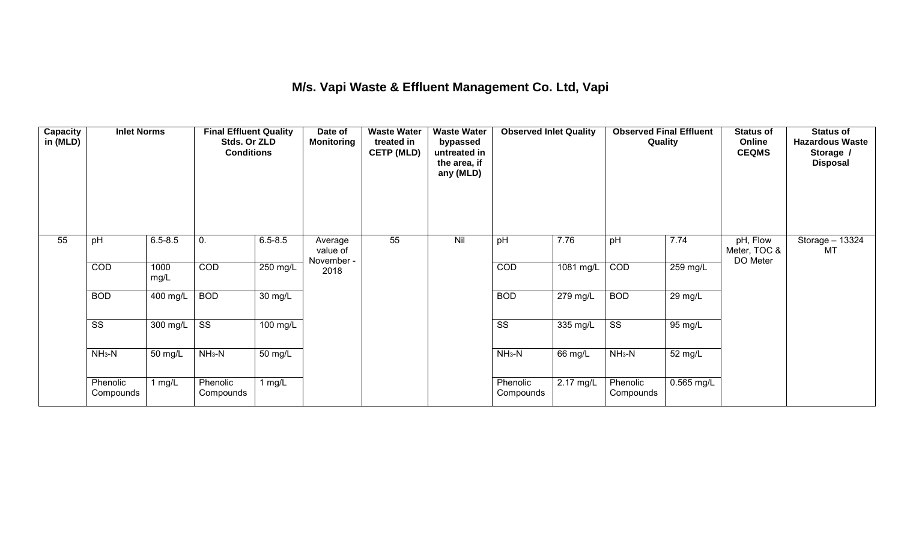## **M/s. Vapi Waste & Effluent Management Co. Ltd, Vapi**

| <b>Capacity</b><br>in (MLD) | <b>Inlet Norms</b>     |                       | <b>Final Effluent Quality</b><br>Stds. Or ZLD<br><b>Conditions</b> |                   | Date of<br><b>Monitoring</b>      | <b>Waste Water</b><br>treated in<br><b>CETP (MLD)</b> | <b>Waste Water</b><br>bypassed<br>untreated in<br>the area, if<br>any (MLD) | <b>Observed Inlet Quality</b> |            | <b>Observed Final Effluent</b><br>Quality |            | <b>Status of</b><br>Online<br><b>CEQMS</b> | <b>Status of</b><br><b>Hazardous Waste</b><br>Storage /<br><b>Disposal</b> |
|-----------------------------|------------------------|-----------------------|--------------------------------------------------------------------|-------------------|-----------------------------------|-------------------------------------------------------|-----------------------------------------------------------------------------|-------------------------------|------------|-------------------------------------------|------------|--------------------------------------------|----------------------------------------------------------------------------|
| 55                          | pH                     | $6.5 - 8.5$           | 0.                                                                 | $6.5 - 8.5$       | Average<br>value of<br>November - | 55                                                    | Nil                                                                         | pH                            | 7.76       | pH                                        | 7.74       | pH, Flow<br>Meter, TOC &<br>DO Meter       | Storage - 13324<br>МT                                                      |
|                             | COD                    | 1000<br>mg/L          | <b>COD</b>                                                         | $250$ mg/L        | 2018                              |                                                       |                                                                             | COD                           | 1081 mg/L  | COD                                       | 259 mg/L   |                                            |                                                                            |
|                             | <b>BOD</b>             | $\overline{400}$ mg/L | <b>BOD</b>                                                         | 30 mg/L           |                                   |                                                       |                                                                             | <b>BOD</b>                    | $279$ mg/L | <b>BOD</b>                                | $29$ mg/L  |                                            |                                                                            |
|                             | $\overline{\text{ss}}$ | 300 mg/L              | $\overline{\text{ss}}$                                             | 100 mg/L          |                                   |                                                       |                                                                             | $\overline{\text{ss}}$        | 335 mg/L   | $\overline{\text{ss}}$                    | 95 mg/L    |                                            |                                                                            |
|                             | $NH3-N$                | 50 mg/L               | $NH3-N$                                                            | $50 \text{ mg/L}$ |                                   |                                                       |                                                                             | $NH3-N$                       | 66 mg/L    | $NH3-N$                                   | 52 mg/L    |                                            |                                                                            |
|                             | Phenolic<br>Compounds  | 1 mg/ $L$             | Phenolic<br>Compounds                                              | 1 mg/ $L$         |                                   |                                                       |                                                                             | Phenolic<br>Compounds         | 2.17 mg/L  | Phenolic<br>Compounds                     | 0.565 mg/L |                                            |                                                                            |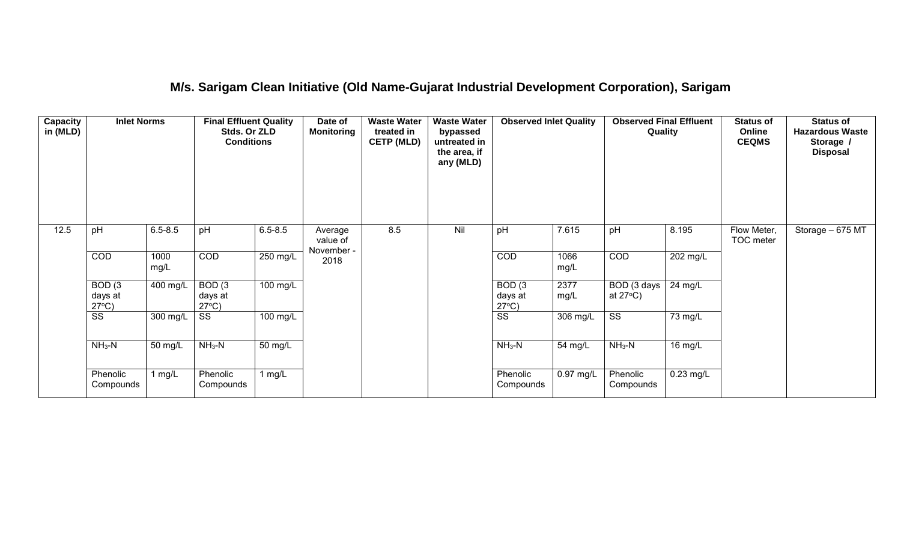#### **M/s. Sarigam Clean Initiative (Old Name-Gujarat Industrial Development Corporation), Sarigam**

| Capacity<br>in (MLD) | <b>Inlet Norms</b>                              |              | <b>Final Effluent Quality</b><br>Stds. Or ZLD<br><b>Conditions</b> |                      | <b>Waste Water</b><br><b>Waste Water</b><br>Date of<br><b>Monitoring</b><br>treated in<br>bypassed<br><b>CETP (MLD)</b><br>untreated in<br>the area, if<br>any (MLD) |     | <b>Observed Inlet Quality</b> |                                                 | <b>Observed Final Effluent</b><br>Quality |                                   | <b>Status of</b><br>Online<br><b>CEQMS</b> | <b>Status of</b><br><b>Hazardous Waste</b><br>Storage /<br><b>Disposal</b> |                   |
|----------------------|-------------------------------------------------|--------------|--------------------------------------------------------------------|----------------------|----------------------------------------------------------------------------------------------------------------------------------------------------------------------|-----|-------------------------------|-------------------------------------------------|-------------------------------------------|-----------------------------------|--------------------------------------------|----------------------------------------------------------------------------|-------------------|
| 12.5                 | pH                                              | $6.5 - 8.5$  | pH                                                                 | $6.5 - 8.5$          | Average<br>value of<br>November -                                                                                                                                    | 8.5 | Nil                           | pH                                              | 7.615                                     | pH                                | 8.195                                      | Flow Meter,<br>TOC meter                                                   | Storage $-675$ MT |
|                      | COD                                             | 1000<br>mg/L | COD                                                                | 250 mg/L             | 2018                                                                                                                                                                 |     |                               | COD                                             | 1066<br>mg/L                              | COD                               | 202 mg/L                                   |                                                                            |                   |
|                      | BOD <sub>(3</sub><br>days at<br>$27^{\circ}C$ ) | 400 mg/L     | BOD <sub>(3</sub><br>days at<br>$27^{\circ}C$ )                    | $100 \text{ mg/L}$   |                                                                                                                                                                      |     |                               | BOD <sub>(3</sub><br>days at<br>$27^{\circ}C$ ) | 2377<br>mg/L                              | BOD (3 days<br>at $27^{\circ}$ C) | 24 mg/L                                    |                                                                            |                   |
|                      | $\overline{\text{ss}}$                          | 300 mg/L     | $\overline{\text{SS}}$                                             | 100 mg/L             |                                                                                                                                                                      |     |                               | $\overline{\text{ss}}$                          | 306 mg/L                                  | $\overline{\text{ss}}$            | 73 mg/L                                    |                                                                            |                   |
|                      | $NH3-N$                                         | 50 mg/L      | $NH3-N$                                                            | $\overline{50}$ mg/L |                                                                                                                                                                      |     |                               | $NH3-N$                                         | 54 mg/L                                   | $NH3-N$                           | 16 mg/L                                    |                                                                            |                   |
|                      | Phenolic<br>Compounds                           | 1 mg/L       | Phenolic<br>Compounds                                              | 1 mg/L               |                                                                                                                                                                      |     |                               | Phenolic<br>Compounds                           | $0.97$ mg/L                               | Phenolic<br>Compounds             | $0.23$ mg/L                                |                                                                            |                   |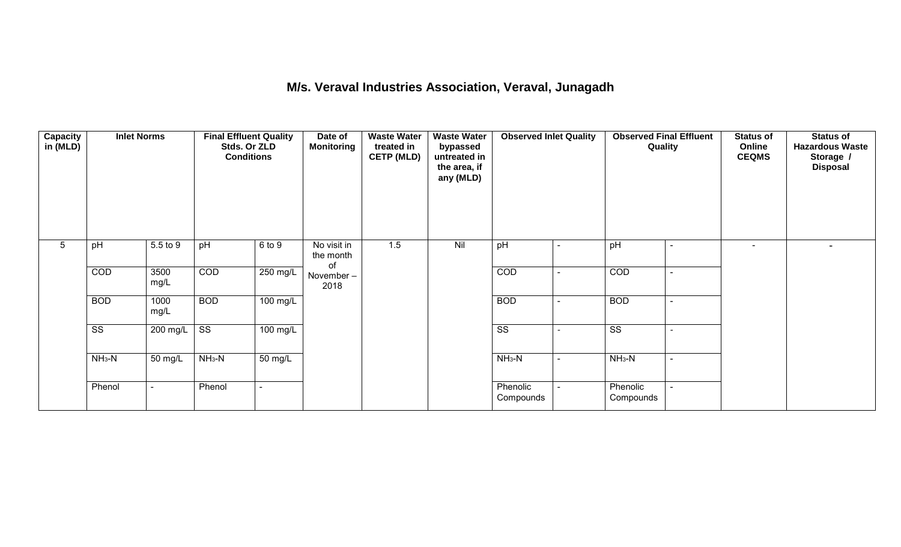#### **M/s. Veraval Industries Association, Veraval, Junagadh**

| <b>Capacity</b><br>in (MLD) | <b>Inlet Norms</b>     |                | <b>Final Effluent Quality</b><br>Stds. Or ZLD<br><b>Conditions</b> |                       | <b>Waste Water</b><br>Date of<br><b>Waste Water</b><br><b>Observed Inlet Quality</b><br><b>Observed Final Effluent</b><br>Quality<br><b>Monitoring</b><br>treated in<br>bypassed<br><b>CETP (MLD)</b><br>untreated in<br>the area, if<br>any (MLD) |     |     | <b>Status of</b><br>Online<br><b>CEQMS</b> | <b>Status of</b><br><b>Hazardous Waste</b><br>Storage /<br><b>Disposal</b> |                        |                          |                |  |
|-----------------------------|------------------------|----------------|--------------------------------------------------------------------|-----------------------|----------------------------------------------------------------------------------------------------------------------------------------------------------------------------------------------------------------------------------------------------|-----|-----|--------------------------------------------|----------------------------------------------------------------------------|------------------------|--------------------------|----------------|--|
| 5                           | pH                     | 5.5 to 9       | pH                                                                 | 6 to 9                | No visit in<br>the month<br>of                                                                                                                                                                                                                     | 1.5 | Nil | pH                                         |                                                                            | pH                     | $\overline{a}$           | $\blacksquare$ |  |
|                             | COD                    | 3500<br>mg/L   | COD                                                                | $250$ mg/L            | November-<br>2018                                                                                                                                                                                                                                  |     |     | COD                                        |                                                                            | COD                    |                          |                |  |
|                             | <b>BOD</b>             | 1000<br>mg/L   | <b>BOD</b>                                                         | $\overline{100}$ mg/L |                                                                                                                                                                                                                                                    |     |     | <b>BOD</b>                                 | $\sim$                                                                     | <b>BOD</b>             | $\sim$                   |                |  |
|                             | $\overline{\text{ss}}$ | 200 mg/L       | $\overline{\text{ss}}$                                             | $100 \text{ mg/L}$    |                                                                                                                                                                                                                                                    |     |     | $\overline{\text{ss}}$                     |                                                                            | $\overline{\text{ss}}$ | $\overline{\phantom{a}}$ |                |  |
|                             | $NH3-N$                | 50 mg/L        | $NH3-N$                                                            | $\overline{50}$ mg/L  |                                                                                                                                                                                                                                                    |     |     | $NH3-N$                                    | $\blacksquare$                                                             | $NH3-N$                | $\sim$                   |                |  |
|                             | Phenol                 | $\blacksquare$ | Phenol                                                             |                       |                                                                                                                                                                                                                                                    |     |     | Phenolic<br>Compounds                      |                                                                            | Phenolic<br>Compounds  |                          |                |  |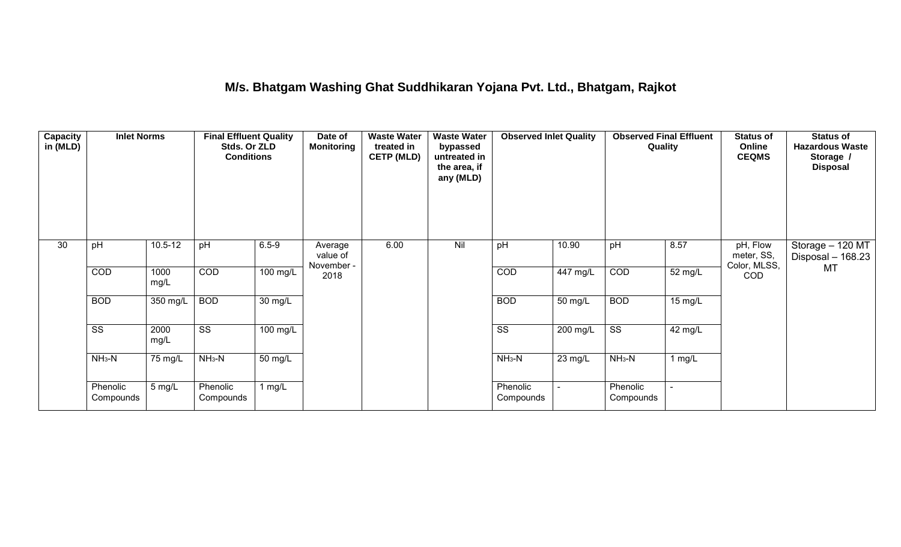#### **M/s. Bhatgam Washing Ghat Suddhikaran Yojana Pvt. Ltd., Bhatgam, Rajkot**

| <b>Capacity</b><br>in (MLD) | <b>Inlet Norms</b><br><b>Final Effluent Quality</b><br>Stds. Or ZLD<br><b>Conditions</b> |              |                        | <b>Waste Water</b><br>Date of<br><b>Monitoring</b><br>treated in<br><b>CETP (MLD)</b> |                                   | <b>Waste Water</b><br>bypassed<br>untreated in<br>the area, if<br>any (MLD) | <b>Observed Inlet Quality</b> |                        | <b>Observed Final Effluent</b><br>Quality |                        | <b>Status of</b><br>Online<br><b>CEQMS</b> | <b>Status of</b><br><b>Hazardous Waste</b><br>Storage /<br><b>Disposal</b> |                                       |
|-----------------------------|------------------------------------------------------------------------------------------|--------------|------------------------|---------------------------------------------------------------------------------------|-----------------------------------|-----------------------------------------------------------------------------|-------------------------------|------------------------|-------------------------------------------|------------------------|--------------------------------------------|----------------------------------------------------------------------------|---------------------------------------|
| 30                          | pH                                                                                       | $10.5 - 12$  | pH                     | $6.5 - 9$                                                                             | Average<br>value of<br>November - | 6.00                                                                        | Nil                           | pH                     | 10.90                                     | pH                     | 8.57                                       | pH, Flow<br>meter, SS,<br>Color, MLSS,                                     | Storage - 120 MT<br>Disposal - 168.23 |
|                             | COD                                                                                      | 1000<br>mg/L | COD                    | $100$ mg/L                                                                            | 2018                              |                                                                             |                               | COD                    | $447 \text{ mg/L}$                        | COD                    | 52 mg/L                                    | <b>COD</b>                                                                 | MT                                    |
|                             | <b>BOD</b>                                                                               | 350 mg/L     | <b>BOD</b>             | 30 mg/L                                                                               |                                   |                                                                             |                               | <b>BOD</b>             | 50 mg/L                                   | <b>BOD</b>             | $15 \text{ mg/L}$                          |                                                                            |                                       |
|                             | $\overline{\text{ss}}$                                                                   | 2000<br>mg/L | $\overline{\text{ss}}$ | 100 mg/L                                                                              |                                   |                                                                             |                               | $\overline{\text{ss}}$ | $200$ mg/L                                | $\overline{\text{ss}}$ | 42 mg/L                                    |                                                                            |                                       |
|                             | $NH3-N$                                                                                  | 75 mg/L      | $NH3-N$                | 50 mg/L                                                                               |                                   |                                                                             |                               | $NH3-N$                | 23 mg/L                                   | $NH3-N$                | $1$ mg/L                                   |                                                                            |                                       |
|                             | Phenolic<br>Compounds                                                                    | 5 mg/L       | Phenolic<br>Compounds  | 1 mg/L                                                                                |                                   |                                                                             |                               | Phenolic<br>Compounds  | $\blacksquare$                            | Phenolic<br>Compounds  |                                            |                                                                            |                                       |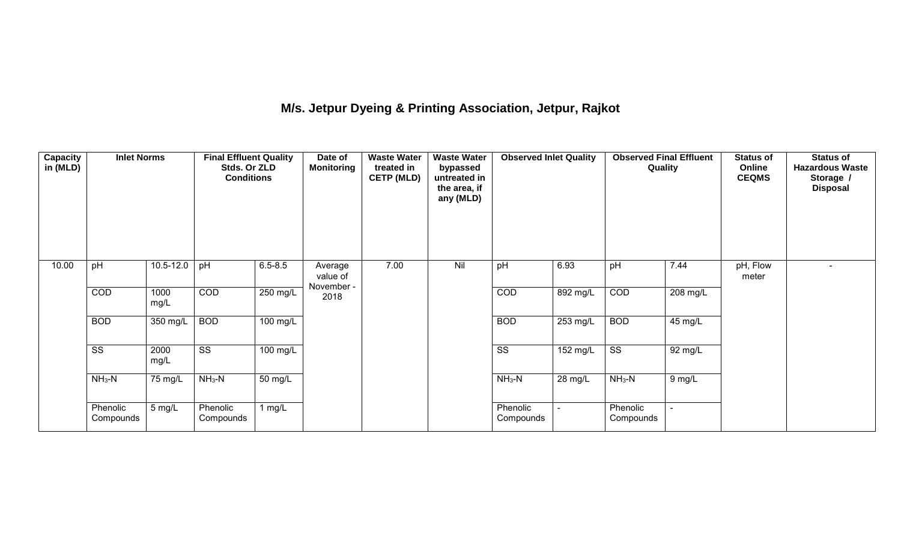# **M/s. Jetpur Dyeing & Printing Association, Jetpur, Rajkot**

| <b>Capacity</b><br>in (MLD) | <b>Inlet Norms</b>     |              | <b>Final Effluent Quality</b><br>Stds. Or ZLD<br><b>Conditions</b> |                       | Date of<br><b>Monitoring</b> | <b>Waste Water</b><br>treated in<br><b>CETP (MLD)</b> | <b>Waste Water</b><br>bypassed<br>untreated in<br>the area, if<br>any (MLD) | <b>Observed Inlet Quality</b><br>pH<br>6.93 |                    | <b>Observed Final Effluent</b><br>Quality |                      | <b>Status of</b><br>Online<br><b>CEQMS</b> | <b>Status of</b><br><b>Hazardous Waste</b><br>Storage /<br><b>Disposal</b> |
|-----------------------------|------------------------|--------------|--------------------------------------------------------------------|-----------------------|------------------------------|-------------------------------------------------------|-----------------------------------------------------------------------------|---------------------------------------------|--------------------|-------------------------------------------|----------------------|--------------------------------------------|----------------------------------------------------------------------------|
| 10.00                       | pH                     | 10.5-12.0    | pH                                                                 | $6.5 - 8.5$           | Average<br>value of          | 7.00                                                  | Nil                                                                         |                                             |                    | pH                                        | 7.44                 | pH, Flow<br>meter                          |                                                                            |
|                             | COD                    | 1000<br>mg/L | COD                                                                | 250 mg/L              | November -<br>2018           |                                                       |                                                                             | COD                                         | $892$ mg/L         | COD                                       | 208 mg/L             |                                            |                                                                            |
|                             | <b>BOD</b>             | 350 mg/L     | <b>BOD</b>                                                         | $\overline{100}$ mg/L |                              |                                                       |                                                                             | <b>BOD</b>                                  | $253 \text{ mg/L}$ | <b>BOD</b>                                | $45 \,\mathrm{mg/L}$ |                                            |                                                                            |
|                             | $\overline{\text{ss}}$ | 2000<br>mg/L | $\overline{\text{ss}}$                                             | $100 \text{ mg/L}$    |                              |                                                       |                                                                             | $\overline{\text{ss}}$                      | $152 \text{ mg/L}$ | $\overline{\text{ss}}$                    | 92 mg/L              |                                            |                                                                            |
|                             | $NH3-N$                | 75 mg/L      | $NH3-N$                                                            | 50 mg/L               |                              |                                                       |                                                                             | $NH3-N$                                     | 28 mg/L            | $NH3-N$                                   | 9 mg/L               |                                            |                                                                            |
|                             | Phenolic<br>Compounds  | 5 mg/L       | Phenolic<br>Compounds                                              | 1 $mg/L$              |                              |                                                       |                                                                             | Phenolic<br>Compounds                       |                    | Phenolic<br>Compounds                     |                      |                                            |                                                                            |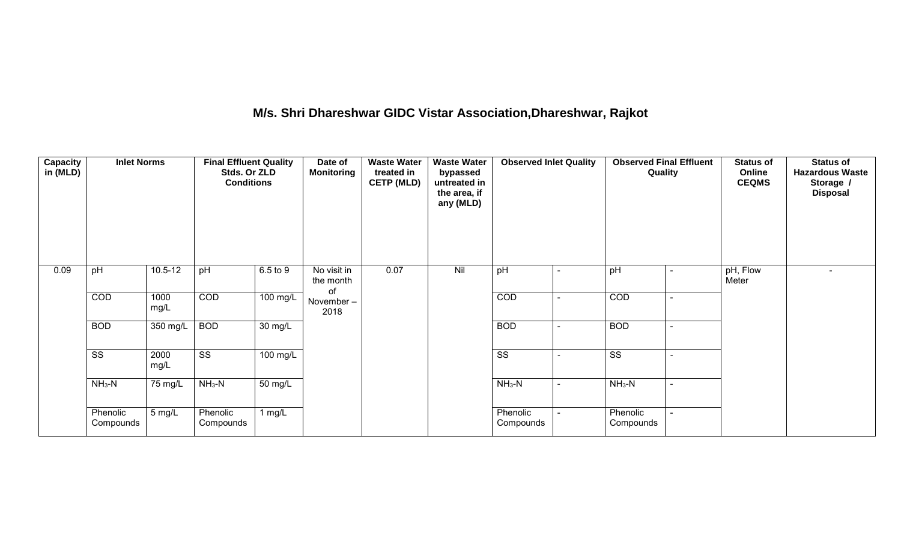# **M/s. Shri Dhareshwar GIDC Vistar Association,Dhareshwar, Rajkot**

| <b>Capacity</b><br>in (MLD) | <b>Inlet Norms</b>     |              | <b>Final Effluent Quality</b><br>Date of<br><b>Waste Water</b><br><b>Waste Water</b><br><b>Observed Inlet Quality</b><br>Stds. Or ZLD<br><b>Monitoring</b><br>treated in<br>bypassed<br><b>CETP (MLD)</b><br>untreated in<br><b>Conditions</b><br>the area, if<br>any (MLD) |                       |                                | <b>Observed Final Effluent</b><br>Quality |     | <b>Status of</b><br>Online<br><b>CEQMS</b> | <b>Status of</b><br><b>Hazardous Waste</b><br>Storage /<br><b>Disposal</b> |                        |  |                   |  |
|-----------------------------|------------------------|--------------|-----------------------------------------------------------------------------------------------------------------------------------------------------------------------------------------------------------------------------------------------------------------------------|-----------------------|--------------------------------|-------------------------------------------|-----|--------------------------------------------|----------------------------------------------------------------------------|------------------------|--|-------------------|--|
| 0.09                        | pH                     | $10.5 - 12$  | pH                                                                                                                                                                                                                                                                          | 6.5 to 9              | No visit in<br>the month<br>of | 0.07                                      | Nil | pH                                         |                                                                            | pH                     |  | pH, Flow<br>Meter |  |
|                             | COD                    | 1000<br>mg/L | COD                                                                                                                                                                                                                                                                         | $\overline{100}$ mg/L | November-<br>2018              |                                           |     | COD                                        |                                                                            | COD                    |  |                   |  |
|                             | <b>BOD</b>             | $350$ mg/L   | <b>BOD</b>                                                                                                                                                                                                                                                                  | $\overline{30}$ mg/L  |                                |                                           |     | <b>BOD</b>                                 |                                                                            | <b>BOD</b>             |  |                   |  |
|                             | $\overline{\text{ss}}$ | 2000<br>mg/L | $\overline{\text{ss}}$                                                                                                                                                                                                                                                      | $100$ mg/L            |                                |                                           |     | $\overline{\text{ss}}$                     |                                                                            | $\overline{\text{ss}}$ |  |                   |  |
|                             | $NH3-N$                | 75 mg/L      | $NH3-N$                                                                                                                                                                                                                                                                     | $50 \text{ mg/L}$     |                                |                                           |     | $NH_3-N$                                   | $\sim$                                                                     | $NH_3-N$               |  |                   |  |
|                             | Phenolic<br>Compounds  | 5 mg/L       | Phenolic<br>Compounds                                                                                                                                                                                                                                                       | $1$ mg/L              |                                |                                           |     | Phenolic<br>Compounds                      | $\sim$                                                                     | Phenolic<br>Compounds  |  |                   |  |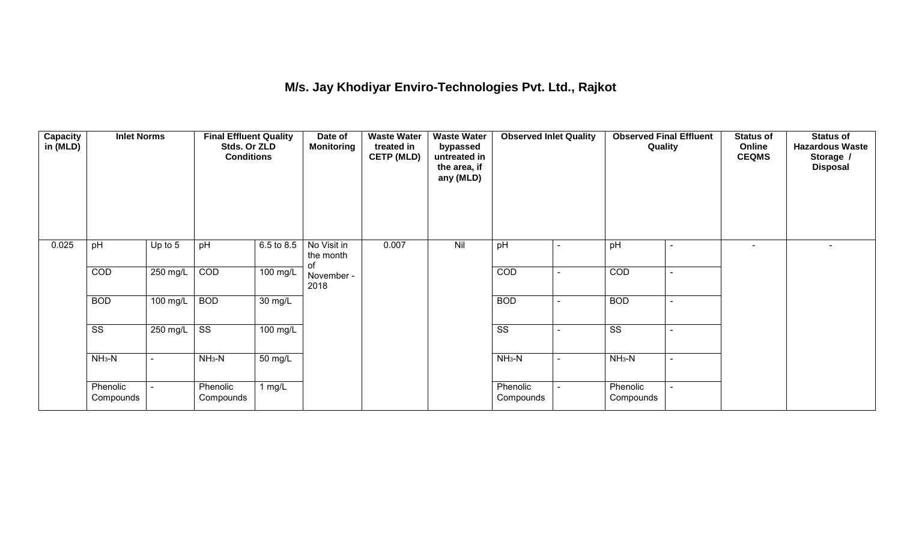## **M/s. Jay Khodiyar Enviro-Technologies Pvt. Ltd., Rajkot**

| Capacity<br>in (MLD) | <b>Inlet Norms</b>     |                | <b>Final Effluent Quality</b><br>Stds. Or ZLD<br><b>Conditions</b> |                      | Date of<br><b>Monitoring</b>   | <b>Waste Water</b><br>treated in<br><b>CETP (MLD)</b> | <b>Waste Water</b><br>bypassed<br>untreated in<br>the area, if<br>any (MLD) | <b>Observed Inlet Quality</b> |        | <b>Observed Final Effluent</b><br>Quality |                | <b>Status of</b><br>Online<br><b>CEQMS</b> | <b>Status of</b><br><b>Hazardous Waste</b><br>Storage /<br><b>Disposal</b> |
|----------------------|------------------------|----------------|--------------------------------------------------------------------|----------------------|--------------------------------|-------------------------------------------------------|-----------------------------------------------------------------------------|-------------------------------|--------|-------------------------------------------|----------------|--------------------------------------------|----------------------------------------------------------------------------|
| 0.025                | pH                     | Up to 5        | pH                                                                 | 6.5 to 8.5           | No Visit in<br>the month<br>οf | 0.007                                                 | Nil                                                                         | pH                            |        | pH                                        |                | $\blacksquare$                             |                                                                            |
|                      | COD                    | 250 mg/L       | COD                                                                | 100 mg/L             | November -<br>2018             |                                                       |                                                                             | COD                           |        | COD                                       |                |                                            |                                                                            |
|                      | <b>BOD</b>             | $100$ mg/L     | <b>BOD</b>                                                         | $\overline{30}$ mg/L |                                |                                                       |                                                                             | <b>BOD</b>                    | $\sim$ | <b>BOD</b>                                | $\overline{a}$ |                                            |                                                                            |
|                      | $\overline{\text{ss}}$ | 250 mg/L       | $\overline{\text{ss}}$                                             | $100$ mg/L           |                                |                                                       |                                                                             | $\overline{\text{ss}}$        |        | $\overline{\text{ss}}$                    |                |                                            |                                                                            |
|                      | $NH3-N$                | $\blacksquare$ | $NH3-N$                                                            | $\overline{50}$ mg/L |                                |                                                       |                                                                             | $NH3-N$                       |        | $NH3-N$                                   |                |                                            |                                                                            |
|                      | Phenolic<br>Compounds  |                | Phenolic<br>Compounds                                              | 1 $mg/L$             |                                |                                                       |                                                                             | Phenolic<br>Compounds         |        | Phenolic<br>Compounds                     |                |                                            |                                                                            |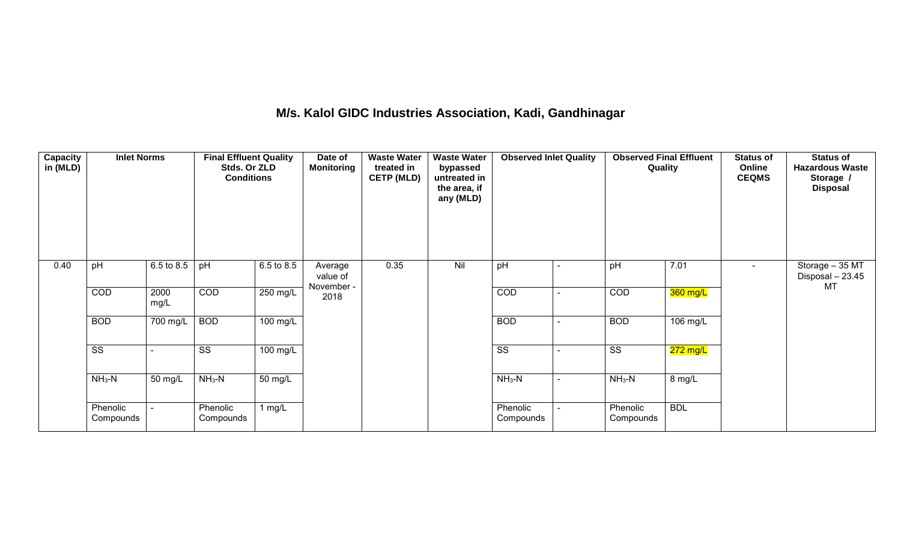#### **M/s. Kalol GIDC Industries Association, Kadi, Gandhinagar**

| Capacity<br>in (MLD) | <b>Inlet Norms</b>     |                       | <b>Waste Water</b><br><b>Final Effluent Quality</b><br><b>Waste Water</b><br><b>Observed Inlet Quality</b><br>Date of<br>Stds. Or ZLD<br><b>Monitoring</b><br>treated in<br>bypassed<br><b>Conditions</b><br><b>CETP (MLD)</b><br>untreated in<br>the area, if<br>any (MLD) |                    |                                   |      | <b>Observed Final Effluent</b><br>Quality | <b>Status of</b><br>Online<br><b>CEQMS</b> | <b>Status of</b><br><b>Hazardous Waste</b><br>Storage /<br><b>Disposal</b> |                        |            |  |                                           |
|----------------------|------------------------|-----------------------|-----------------------------------------------------------------------------------------------------------------------------------------------------------------------------------------------------------------------------------------------------------------------------|--------------------|-----------------------------------|------|-------------------------------------------|--------------------------------------------|----------------------------------------------------------------------------|------------------------|------------|--|-------------------------------------------|
| 0.40                 | pH                     | 6.5 to 8.5            | pH                                                                                                                                                                                                                                                                          | 6.5 to 8.5         | Average<br>value of<br>November - | 0.35 | Nil                                       | pH                                         |                                                                            | pH                     | 7.01       |  | Storage - 35 MT<br>Disposal - 23.45<br>MT |
|                      | COD                    | 2000<br>mg/L          | COD                                                                                                                                                                                                                                                                         | $250 \text{ mg/L}$ | 2018                              |      |                                           | COD                                        | ۰                                                                          | COD                    | 360 mg/L   |  |                                           |
|                      | <b>BOD</b>             | $\overline{700}$ mg/L | <b>BOD</b>                                                                                                                                                                                                                                                                  | $100$ mg/L         |                                   |      |                                           | <b>BOD</b>                                 |                                                                            | <b>BOD</b>             | 106 mg/L   |  |                                           |
|                      | $\overline{\text{ss}}$ |                       | $\overline{\text{ss}}$                                                                                                                                                                                                                                                      | $100 \text{ mg/L}$ |                                   |      |                                           | $\overline{\text{ss}}$                     |                                                                            | $\overline{\text{ss}}$ | $272$ mg/L |  |                                           |
|                      | $NH3-N$                | 50 mg/L               | $NH3-N$                                                                                                                                                                                                                                                                     | 50 mg/L            |                                   |      |                                           | $NH3-N$                                    | ۰                                                                          | $NH3-N$                | 8 mg/L     |  |                                           |
|                      | Phenolic<br>Compounds  |                       | Phenolic<br>Compounds                                                                                                                                                                                                                                                       | 1 mg/L             |                                   |      |                                           | Phenolic<br>Compounds                      |                                                                            | Phenolic<br>Compounds  | <b>BDL</b> |  |                                           |